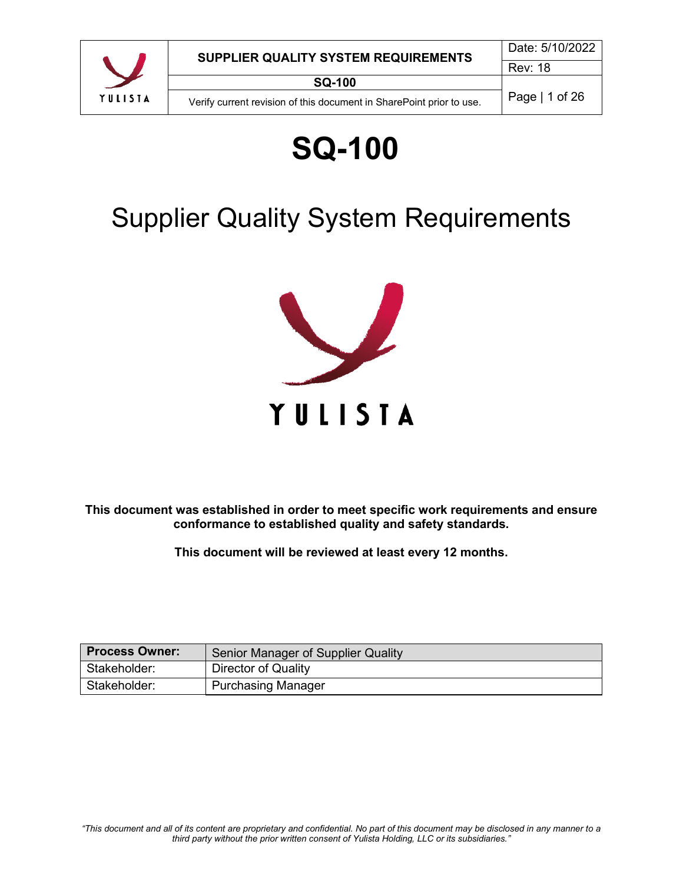

# **SQ-100**

# Supplier Quality System Requirements



**This document was established in order to meet specific work requirements and ensure conformance to established quality and safety standards.**

**This document will be reviewed at least every 12 months.**

| <b>Process Owner:</b> | Senior Manager of Supplier Quality |
|-----------------------|------------------------------------|
| Stakeholder:          | Director of Quality                |
| Stakeholder:          | <b>Purchasing Manager</b>          |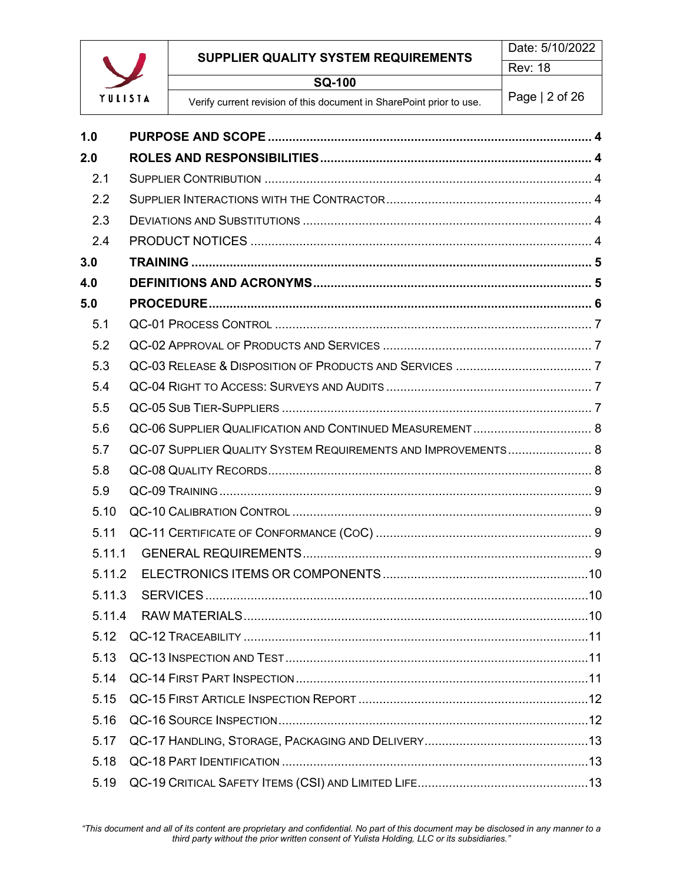

# **SUPPLIER QUALITY SYSTEM REQUIREMENTS**

**SQ-100**

Verify current revision of this document in SharePoint prior to use. Page | 2 of 26

| 1.0    |                                                               |  |
|--------|---------------------------------------------------------------|--|
| 2.0    |                                                               |  |
| 2.1    |                                                               |  |
| 2.2    |                                                               |  |
| 2.3    |                                                               |  |
| 2.4    |                                                               |  |
| 3.0    |                                                               |  |
| 4.0    |                                                               |  |
| 5.0    |                                                               |  |
| 5.1    |                                                               |  |
| 5.2    |                                                               |  |
| 5.3    |                                                               |  |
| 5.4    |                                                               |  |
| 5.5    |                                                               |  |
| 5.6    |                                                               |  |
| 5.7    | QC-07 SUPPLIER QUALITY SYSTEM REQUIREMENTS AND IMPROVEMENTS 8 |  |
| 5.8    |                                                               |  |
| 5.9    |                                                               |  |
| 5.10   |                                                               |  |
| 5.11   |                                                               |  |
| 5.11.1 |                                                               |  |
| 5.11.2 |                                                               |  |
| 5.11.3 |                                                               |  |
| 5.11.4 |                                                               |  |
| 5.12   |                                                               |  |
| 5.13   |                                                               |  |
| 5.14   |                                                               |  |
| 5.15   |                                                               |  |
| 5.16   |                                                               |  |
| 5.17   |                                                               |  |
| 5.18   |                                                               |  |
| 5.19   |                                                               |  |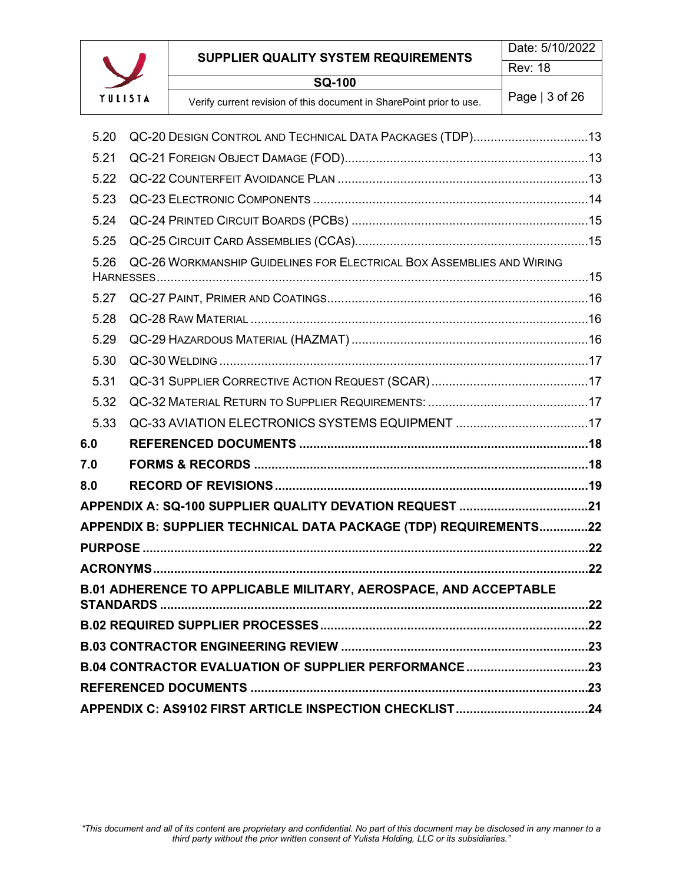

# **SUPPLIER QUALITY SYSTEM REQUIREMENTS SQ-100**

| 5.20 | QC-20 DESIGN CONTROL AND TECHNICAL DATA PACKAGES (TDP)13              |     |  |
|------|-----------------------------------------------------------------------|-----|--|
| 5.21 |                                                                       |     |  |
| 5.22 |                                                                       |     |  |
| 5.23 |                                                                       |     |  |
| 5.24 |                                                                       |     |  |
| 5.25 |                                                                       |     |  |
| 5.26 | QC-26 WORKMANSHIP GUIDELINES FOR ELECTRICAL BOX ASSEMBLIES AND WIRING |     |  |
| 5.27 |                                                                       |     |  |
| 5.28 |                                                                       |     |  |
| 5.29 |                                                                       |     |  |
| 5.30 |                                                                       |     |  |
| 5.31 |                                                                       |     |  |
| 5.32 |                                                                       |     |  |
| 5.33 |                                                                       |     |  |
| 6.0  |                                                                       |     |  |
| 7.0  |                                                                       |     |  |
| 8.0  |                                                                       |     |  |
|      | APPENDIX A: SQ-100 SUPPLIER QUALITY DEVATION REQUEST 21               |     |  |
|      | APPENDIX B: SUPPLIER TECHNICAL DATA PACKAGE (TDP) REQUIREMENTS22      |     |  |
|      |                                                                       |     |  |
|      |                                                                       |     |  |
|      | B.01 ADHERENCE TO APPLICABLE MILITARY, AEROSPACE, AND ACCEPTABLE      |     |  |
|      |                                                                       | .22 |  |
|      |                                                                       |     |  |
|      | B.04 CONTRACTOR EVALUATION OF SUPPLIER PERFORMANCE 23                 |     |  |
|      |                                                                       |     |  |
|      |                                                                       |     |  |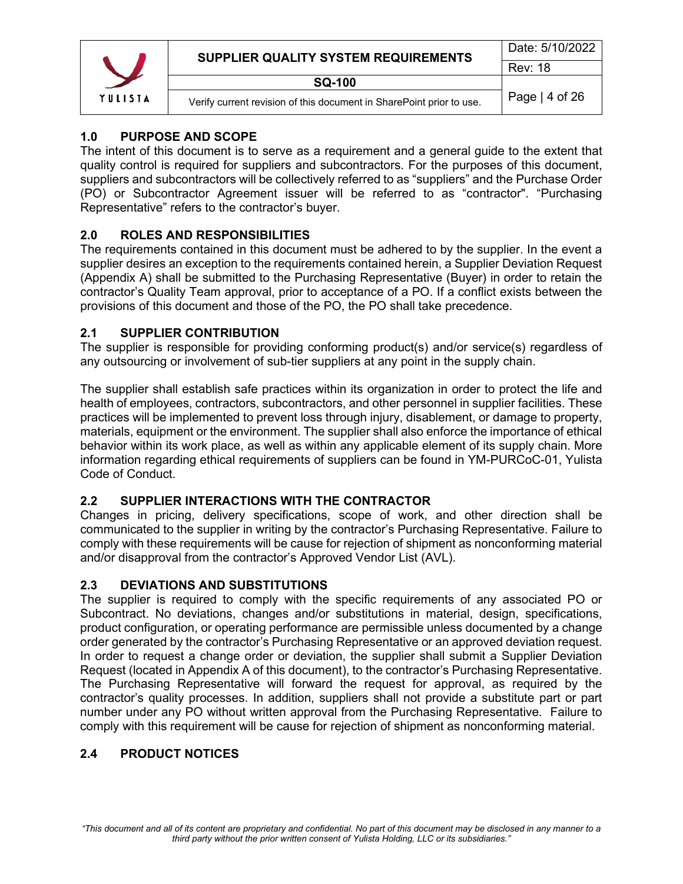|         | SUPPLIER QUALITY SYSTEM REQUIREMENTS                                 | Date: 5/10/2022 |
|---------|----------------------------------------------------------------------|-----------------|
|         |                                                                      | <b>Rev: 18</b>  |
|         | <b>SQ-100</b>                                                        |                 |
| YULISIA | Verify current revision of this document in SharePoint prior to use. | Page $ 4$ of 26 |

# <span id="page-3-0"></span>**1.0 PURPOSE AND SCOPE**

The intent of this document is to serve as a requirement and a general guide to the extent that quality control is required for suppliers and subcontractors. For the purposes of this document, suppliers and subcontractors will be collectively referred to as "suppliers" and the Purchase Order (PO) or Subcontractor Agreement issuer will be referred to as "contractor". "Purchasing Representative" refers to the contractor's buyer.

# <span id="page-3-1"></span>**2.0 ROLES AND RESPONSIBILITIES**

The requirements contained in this document must be adhered to by the supplier. In the event a supplier desires an exception to the requirements contained herein, a Supplier Deviation Request (Appendix A) shall be submitted to the Purchasing Representative (Buyer) in order to retain the contractor's Quality Team approval, prior to acceptance of a PO. If a conflict exists between the provisions of this document and those of the PO, the PO shall take precedence.

# <span id="page-3-2"></span>**2.1 SUPPLIER CONTRIBUTION**

The supplier is responsible for providing conforming product(s) and/or service(s) regardless of any outsourcing or involvement of sub-tier suppliers at any point in the supply chain.

The supplier shall establish safe practices within its organization in order to protect the life and health of employees, contractors, subcontractors, and other personnel in supplier facilities. These practices will be implemented to prevent loss through injury, disablement, or damage to property, materials, equipment or the environment. The supplier shall also enforce the importance of ethical behavior within its work place, as well as within any applicable element of its supply chain. More information regarding ethical requirements of suppliers can be found in YM-PURCoC-01, Yulista Code of Conduct.

# <span id="page-3-3"></span>**2.2 SUPPLIER INTERACTIONS WITH THE CONTRACTOR**

Changes in pricing, delivery specifications, scope of work, and other direction shall be communicated to the supplier in writing by the contractor's Purchasing Representative. Failure to comply with these requirements will be cause for rejection of shipment as nonconforming material and/or disapproval from the contractor's Approved Vendor List (AVL).

# <span id="page-3-4"></span>**2.3 DEVIATIONS AND SUBSTITUTIONS**

The supplier is required to comply with the specific requirements of any associated PO or Subcontract. No deviations, changes and/or substitutions in material, design, specifications, product configuration, or operating performance are permissible unless documented by a change order generated by the contractor's Purchasing Representative or an approved deviation request. In order to request a change order or deviation, the supplier shall submit a Supplier Deviation Request (located in Appendix A of this document), to the contractor's Purchasing Representative. The Purchasing Representative will forward the request for approval, as required by the contractor's quality processes. In addition, suppliers shall not provide a substitute part or part number under any PO without written approval from the Purchasing Representative. Failure to comply with this requirement will be cause for rejection of shipment as nonconforming material.

# <span id="page-3-5"></span>**2.4 PRODUCT NOTICES**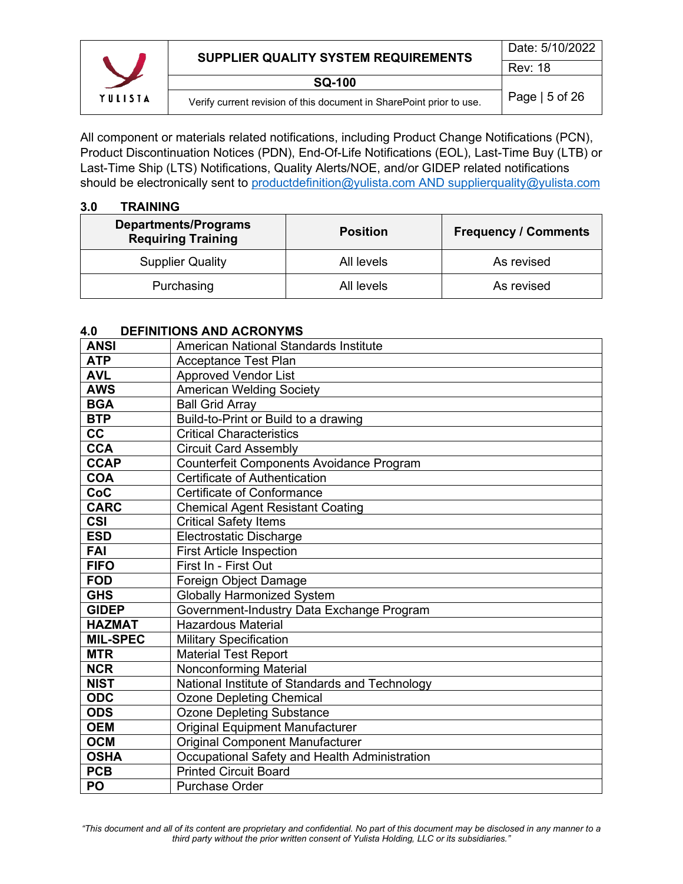

All component or materials related notifications, including Product Change Notifications (PCN), Product Discontinuation Notices (PDN), End-Of-Life Notifications (EOL), Last-Time Buy (LTB) or Last-Time Ship (LTS) Notifications, Quality Alerts/NOE, and/or GIDEP related notifications should be electronically sent to [productdefinition@yulista.com](mailto:productdefinition@yulista.com) AND supplierquality@yulista.com

#### <span id="page-4-0"></span>**3.0 TRAINING**

| <b>Departments/Programs</b><br><b>Requiring Training</b> | <b>Position</b> | <b>Frequency / Comments</b> |
|----------------------------------------------------------|-----------------|-----------------------------|
| <b>Supplier Quality</b>                                  | All levels      | As revised                  |
| Purchasing                                               | All levels      | As revised                  |

#### <span id="page-4-1"></span>**4.0 DEFINITIONS AND ACRONYMS**

| <b>ANSI</b>     | American National Standards Institute          |
|-----------------|------------------------------------------------|
| <b>ATP</b>      | <b>Acceptance Test Plan</b>                    |
| <b>AVL</b>      | <b>Approved Vendor List</b>                    |
| <b>AWS</b>      | <b>American Welding Society</b>                |
| <b>BGA</b>      | <b>Ball Grid Array</b>                         |
| <b>BTP</b>      | Build-to-Print or Build to a drawing           |
| cc              | <b>Critical Characteristics</b>                |
| <b>CCA</b>      | <b>Circuit Card Assembly</b>                   |
| <b>CCAP</b>     | Counterfeit Components Avoidance Program       |
| <b>COA</b>      | Certificate of Authentication                  |
| CoC             | Certificate of Conformance                     |
| <b>CARC</b>     | <b>Chemical Agent Resistant Coating</b>        |
| <b>CSI</b>      | <b>Critical Safety Items</b>                   |
| <b>ESD</b>      | <b>Electrostatic Discharge</b>                 |
| <b>FAI</b>      | <b>First Article Inspection</b>                |
| <b>FIFO</b>     | First In - First Out                           |
| <b>FOD</b>      | Foreign Object Damage                          |
| <b>GHS</b>      | <b>Globally Harmonized System</b>              |
| <b>GIDEP</b>    | Government-Industry Data Exchange Program      |
| <b>HAZMAT</b>   | <b>Hazardous Material</b>                      |
| <b>MIL-SPEC</b> | <b>Military Specification</b>                  |
| <b>MTR</b>      | <b>Material Test Report</b>                    |
| <b>NCR</b>      | Nonconforming Material                         |
| <b>NIST</b>     | National Institute of Standards and Technology |
| <b>ODC</b>      | <b>Ozone Depleting Chemical</b>                |
| <b>ODS</b>      | <b>Ozone Depleting Substance</b>               |
| <b>OEM</b>      | <b>Original Equipment Manufacturer</b>         |
| <b>OCM</b>      | <b>Original Component Manufacturer</b>         |
| <b>OSHA</b>     | Occupational Safety and Health Administration  |
| <b>PCB</b>      | <b>Printed Circuit Board</b>                   |
| PO              | <b>Purchase Order</b>                          |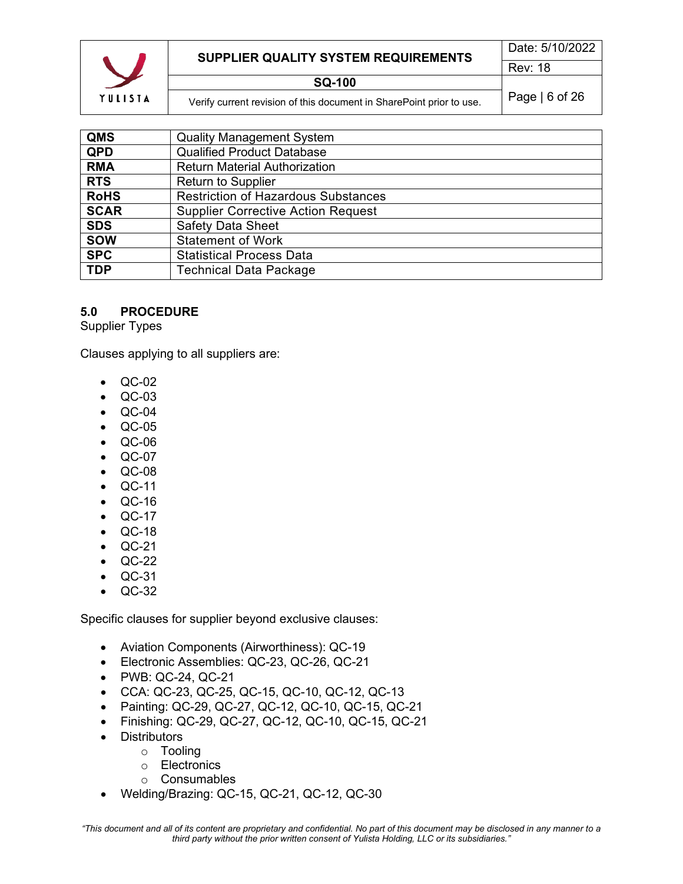

| QMS         | <b>Quality Management System</b>           |
|-------------|--------------------------------------------|
| <b>QPD</b>  | <b>Qualified Product Database</b>          |
| <b>RMA</b>  | <b>Return Material Authorization</b>       |
| <b>RTS</b>  | <b>Return to Supplier</b>                  |
| <b>RoHS</b> | <b>Restriction of Hazardous Substances</b> |
| <b>SCAR</b> | <b>Supplier Corrective Action Request</b>  |
| <b>SDS</b>  | <b>Safety Data Sheet</b>                   |
| <b>SOW</b>  | <b>Statement of Work</b>                   |
| <b>SPC</b>  | <b>Statistical Process Data</b>            |
| <b>TDP</b>  | <b>Technical Data Package</b>              |
|             |                                            |

#### <span id="page-5-0"></span>**5.0 PROCEDURE**

Supplier Types

Clauses applying to all suppliers are:

- QC-02
- QC-03
- QC-04
- QC-05
- QC-06
- QC-07
- QC-08
- QC-11
- QC-16
- QC-17
- QC-18
- QC-21
- QC-22
- QC-31
- QC-32

Specific clauses for supplier beyond exclusive clauses:

- Aviation Components (Airworthiness): QC-19
- Electronic Assemblies: QC-23, QC-26, QC-21
- PWB: QC-24, QC-21
- CCA: QC-23, QC-25, QC-15, QC-10, QC-12, QC-13
- Painting: QC-29, QC-27, QC-12, QC-10, QC-15, QC-21
- Finishing: QC-29, QC-27, QC-12, QC-10, QC-15, QC-21
- Distributors
	- o Tooling
	- o Electronics
	- o Consumables
- Welding/Brazing: QC-15, QC-21, QC-12, QC-30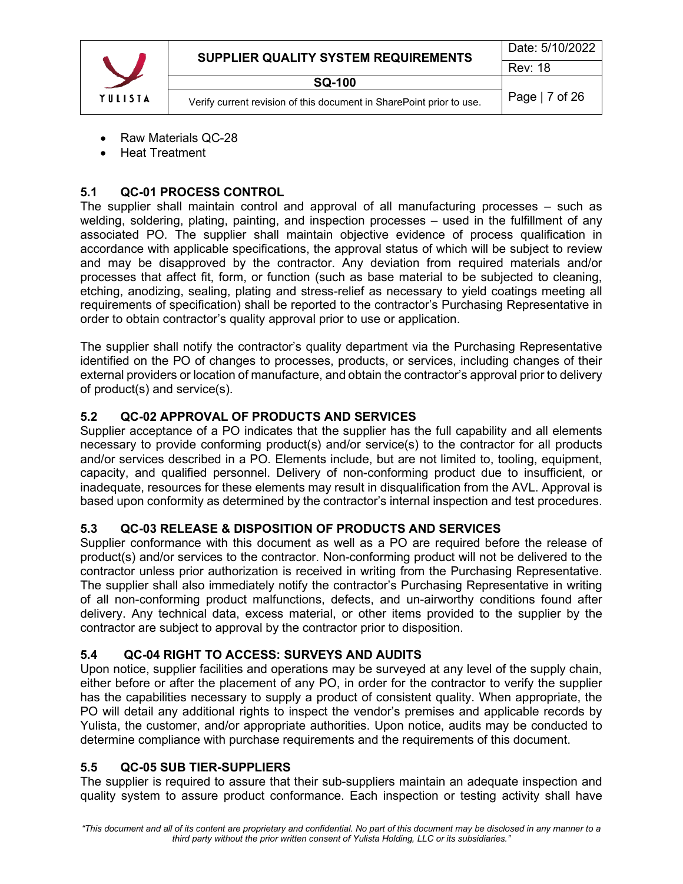|         | SUPPLIER QUALITY SYSTEM REQUIREMENTS                                 | Date: 5/10/2022 |
|---------|----------------------------------------------------------------------|-----------------|
|         |                                                                      | <b>Rev: 18</b>  |
|         | <b>SQ-100</b>                                                        |                 |
| YULISIA | Verify current revision of this document in SharePoint prior to use. | Page   7 of 26  |

- Raw Materials QC-28
- Heat Treatment

# <span id="page-6-0"></span>**5.1 QC-01 PROCESS CONTROL**

The supplier shall maintain control and approval of all manufacturing processes – such as welding, soldering, plating, painting, and inspection processes – used in the fulfillment of any associated PO. The supplier shall maintain objective evidence of process qualification in accordance with applicable specifications, the approval status of which will be subject to review and may be disapproved by the contractor. Any deviation from required materials and/or processes that affect fit, form, or function (such as base material to be subjected to cleaning, etching, anodizing, sealing, plating and stress-relief as necessary to yield coatings meeting all requirements of specification) shall be reported to the contractor's Purchasing Representative in order to obtain contractor's quality approval prior to use or application.

The supplier shall notify the contractor's quality department via the Purchasing Representative identified on the PO of changes to processes, products, or services, including changes of their external providers or location of manufacture, and obtain the contractor's approval prior to delivery of product(s) and service(s).

# <span id="page-6-1"></span>**5.2 QC-02 APPROVAL OF PRODUCTS AND SERVICES**

Supplier acceptance of a PO indicates that the supplier has the full capability and all elements necessary to provide conforming product(s) and/or service(s) to the contractor for all products and/or services described in a PO. Elements include, but are not limited to, tooling, equipment, capacity, and qualified personnel. Delivery of non-conforming product due to insufficient, or inadequate, resources for these elements may result in disqualification from the AVL. Approval is based upon conformity as determined by the contractor's internal inspection and test procedures.

# <span id="page-6-2"></span>**5.3 QC-03 RELEASE & DISPOSITION OF PRODUCTS AND SERVICES**

Supplier conformance with this document as well as a PO are required before the release of product(s) and/or services to the contractor. Non-conforming product will not be delivered to the contractor unless prior authorization is received in writing from the Purchasing Representative. The supplier shall also immediately notify the contractor's Purchasing Representative in writing of all non-conforming product malfunctions, defects, and un-airworthy conditions found after delivery. Any technical data, excess material, or other items provided to the supplier by the contractor are subject to approval by the contractor prior to disposition.

# <span id="page-6-3"></span>**5.4 QC-04 RIGHT TO ACCESS: SURVEYS AND AUDITS**

Upon notice, supplier facilities and operations may be surveyed at any level of the supply chain, either before or after the placement of any PO, in order for the contractor to verify the supplier has the capabilities necessary to supply a product of consistent quality. When appropriate, the PO will detail any additional rights to inspect the vendor's premises and applicable records by Yulista, the customer, and/or appropriate authorities. Upon notice, audits may be conducted to determine compliance with purchase requirements and the requirements of this document.

# <span id="page-6-4"></span>**5.5 QC-05 SUB TIER-SUPPLIERS**

The supplier is required to assure that their sub-suppliers maintain an adequate inspection and quality system to assure product conformance. Each inspection or testing activity shall have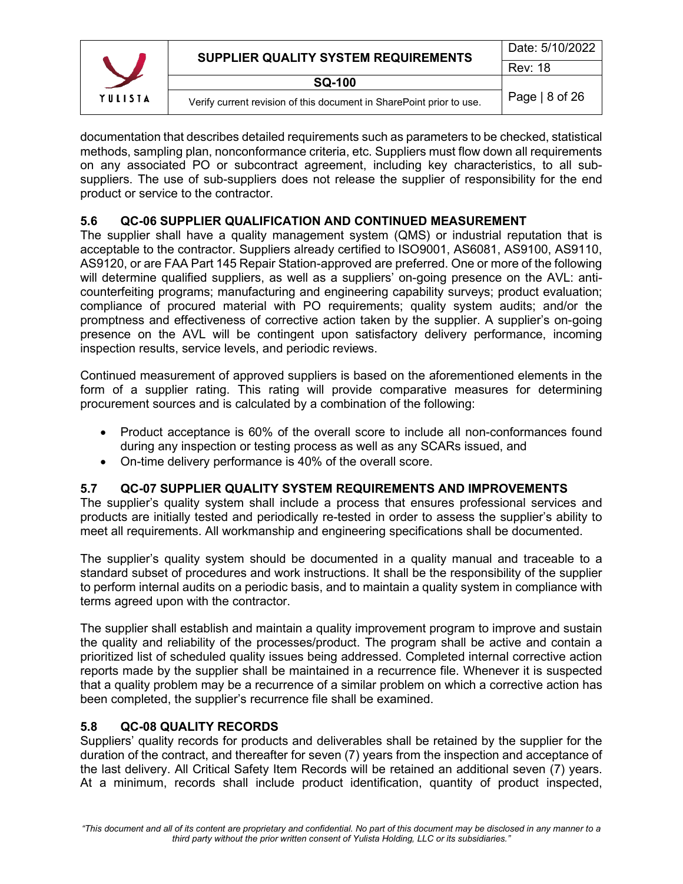|         | SUPPLIER QUALITY SYSTEM REQUIREMENTS                                 | Date: 5/10/2022 |
|---------|----------------------------------------------------------------------|-----------------|
|         |                                                                      | <b>Rev: 18</b>  |
|         | SQ-100                                                               |                 |
| YULISIA | Verify current revision of this document in SharePoint prior to use. | Page $ 8$ of 26 |

documentation that describes detailed requirements such as parameters to be checked, statistical methods, sampling plan, nonconformance criteria, etc. Suppliers must flow down all requirements on any associated PO or subcontract agreement, including key characteristics, to all subsuppliers. The use of sub-suppliers does not release the supplier of responsibility for the end product or service to the contractor.

# <span id="page-7-0"></span>**5.6 QC-06 SUPPLIER QUALIFICATION AND CONTINUED MEASUREMENT**

The supplier shall have a quality management system (QMS) or industrial reputation that is acceptable to the contractor. Suppliers already certified to ISO9001, AS6081, AS9100, AS9110, AS9120, or are FAA Part 145 Repair Station-approved are preferred. One or more of the following will determine qualified suppliers, as well as a suppliers' on-going presence on the AVL: anticounterfeiting programs; manufacturing and engineering capability surveys; product evaluation; compliance of procured material with PO requirements; quality system audits; and/or the promptness and effectiveness of corrective action taken by the supplier. A supplier's on-going presence on the AVL will be contingent upon satisfactory delivery performance, incoming inspection results, service levels, and periodic reviews.

Continued measurement of approved suppliers is based on the aforementioned elements in the form of a supplier rating. This rating will provide comparative measures for determining procurement sources and is calculated by a combination of the following:

- Product acceptance is 60% of the overall score to include all non-conformances found during any inspection or testing process as well as any SCARs issued, and
- On-time delivery performance is 40% of the overall score.

# <span id="page-7-1"></span>**5.7 QC-07 SUPPLIER QUALITY SYSTEM REQUIREMENTS AND IMPROVEMENTS**

The supplier's quality system shall include a process that ensures professional services and products are initially tested and periodically re-tested in order to assess the supplier's ability to meet all requirements. All workmanship and engineering specifications shall be documented.

The supplier's quality system should be documented in a quality manual and traceable to a standard subset of procedures and work instructions. It shall be the responsibility of the supplier to perform internal audits on a periodic basis, and to maintain a quality system in compliance with terms agreed upon with the contractor.

The supplier shall establish and maintain a quality improvement program to improve and sustain the quality and reliability of the processes/product. The program shall be active and contain a prioritized list of scheduled quality issues being addressed. Completed internal corrective action reports made by the supplier shall be maintained in a recurrence file. Whenever it is suspected that a quality problem may be a recurrence of a similar problem on which a corrective action has been completed, the supplier's recurrence file shall be examined.

#### <span id="page-7-2"></span>**5.8 QC-08 QUALITY RECORDS**

Suppliers' quality records for products and deliverables shall be retained by the supplier for the duration of the contract, and thereafter for seven (7) years from the inspection and acceptance of the last delivery. All Critical Safety Item Records will be retained an additional seven (7) years. At a minimum, records shall include product identification, quantity of product inspected,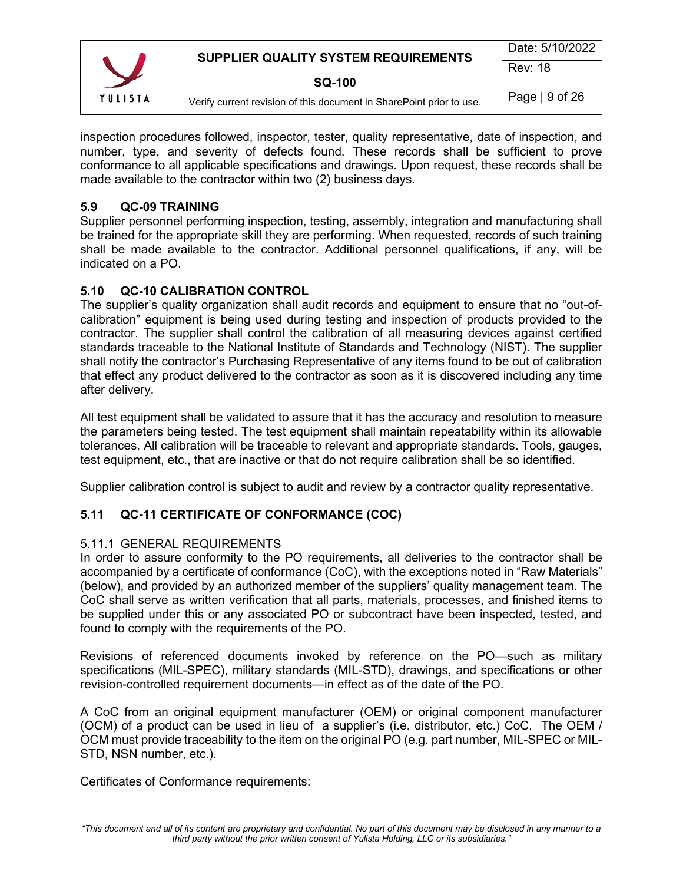

inspection procedures followed, inspector, tester, quality representative, date of inspection, and number, type, and severity of defects found. These records shall be sufficient to prove conformance to all applicable specifications and drawings. Upon request, these records shall be made available to the contractor within two (2) business days.

# <span id="page-8-0"></span>**5.9 QC-09 TRAINING**

Supplier personnel performing inspection, testing, assembly, integration and manufacturing shall be trained for the appropriate skill they are performing. When requested, records of such training shall be made available to the contractor. Additional personnel qualifications, if any, will be indicated on a PO.

# <span id="page-8-1"></span>**5.10 QC-10 CALIBRATION CONTROL**

The supplier's quality organization shall audit records and equipment to ensure that no "out-ofcalibration" equipment is being used during testing and inspection of products provided to the contractor. The supplier shall control the calibration of all measuring devices against certified standards traceable to the National Institute of Standards and Technology (NIST). The supplier shall notify the contractor's Purchasing Representative of any items found to be out of calibration that effect any product delivered to the contractor as soon as it is discovered including any time after delivery.

All test equipment shall be validated to assure that it has the accuracy and resolution to measure the parameters being tested. The test equipment shall maintain repeatability within its allowable tolerances. All calibration will be traceable to relevant and appropriate standards. Tools, gauges, test equipment, etc., that are inactive or that do not require calibration shall be so identified.

Supplier calibration control is subject to audit and review by a contractor quality representative.

# <span id="page-8-2"></span>**5.11 QC-11 CERTIFICATE OF CONFORMANCE (COC)**

# <span id="page-8-3"></span>5.11.1 GENERAL REQUIREMENTS

In order to assure conformity to the PO requirements, all deliveries to the contractor shall be accompanied by a certificate of conformance (CoC), with the exceptions noted in "Raw Materials" (below), and provided by an authorized member of the suppliers' quality management team. The CoC shall serve as written verification that all parts, materials, processes, and finished items to be supplied under this or any associated PO or subcontract have been inspected, tested, and found to comply with the requirements of the PO.

Revisions of referenced documents invoked by reference on the PO—such as military specifications (MIL-SPEC), military standards (MIL-STD), drawings, and specifications or other revision-controlled requirement documents—in effect as of the date of the PO.

A CoC from an original equipment manufacturer (OEM) or original component manufacturer (OCM) of a product can be used in lieu of a supplier's (i.e. distributor, etc.) CoC. The OEM / OCM must provide traceability to the item on the original PO (e.g. part number, MIL-SPEC or MIL-STD, NSN number, etc.).

Certificates of Conformance requirements: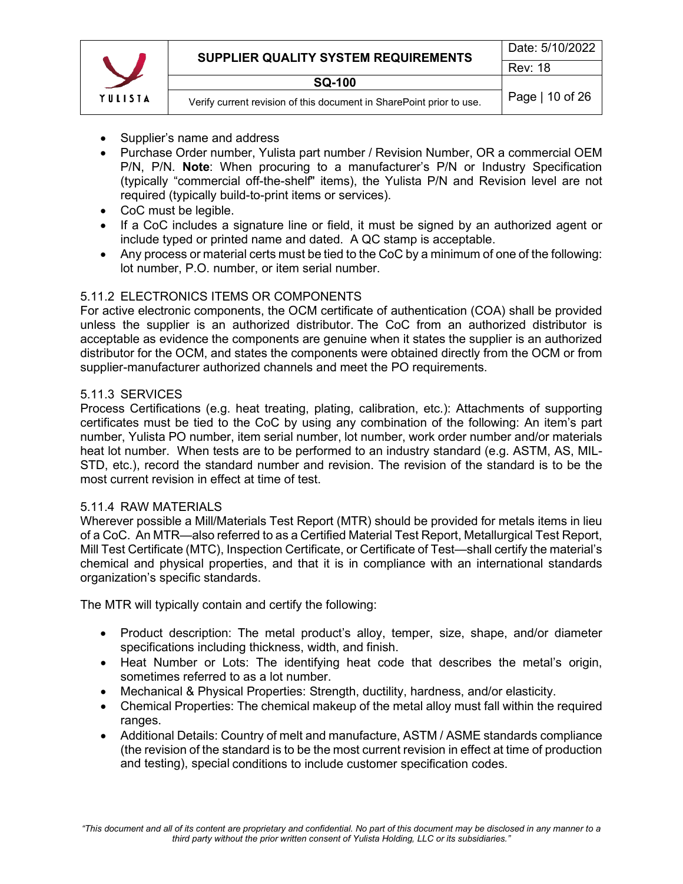|         | SUPPLIER QUALITY SYSTEM REQUIREMENTS                                 | Date: 5/10/2022 |
|---------|----------------------------------------------------------------------|-----------------|
|         |                                                                      | <b>Rev: 18</b>  |
|         | <b>SQ-100</b>                                                        |                 |
| YULISIA | Verify current revision of this document in SharePoint prior to use. | Page   10 of 26 |

- Supplier's name and address
- Purchase Order number, Yulista part number / Revision Number, OR a commercial OEM P/N, P/N. **Note**: When procuring to a manufacturer's P/N or Industry Specification (typically "commercial off-the-shelf" items), the Yulista P/N and Revision level are not required (typically build-to-print items or services).
- CoC must be legible.
- If a CoC includes a signature line or field, it must be signed by an authorized agent or include typed or printed name and dated. A QC stamp is acceptable.
- Any process or material certs must be tied to the CoC by a minimum of one of the following: lot number, P.O. number, or item serial number.

#### <span id="page-9-0"></span>5.11.2 ELECTRONICS ITEMS OR COMPONENTS

For active electronic components, the OCM certificate of authentication (COA) shall be provided unless the supplier is an authorized distributor. The CoC from an authorized distributor is acceptable as evidence the components are genuine when it states the supplier is an authorized distributor for the OCM, and states the components were obtained directly from the OCM or from supplier-manufacturer authorized channels and meet the PO requirements.

#### <span id="page-9-1"></span>5.11.3 SERVICES

Process Certifications (e.g. heat treating, plating, calibration, etc.): Attachments of supporting certificates must be tied to the CoC by using any combination of the following: An item's part number, Yulista PO number, item serial number, lot number, work order number and/or materials heat lot number. When tests are to be performed to an industry standard (e.g. ASTM, AS, MIL-STD, etc.), record the standard number and revision. The revision of the standard is to be the most current revision in effect at time of test.

#### <span id="page-9-2"></span>5.11.4 RAW MATERIALS

Wherever possible a Mill/Materials Test Report (MTR) should be provided for metals items in lieu of a CoC. An MTR—also referred to as a Certified Material Test Report, Metallurgical Test Report, Mill Test Certificate (MTC), Inspection Certificate, or Certificate of Test—shall certify the material's chemical and physical properties, and that it is in compliance with an international standards organization's specific standards.

The MTR will typically contain and certify the following:

- Product description: The metal product's alloy, temper, size, shape, and/or diameter specifications including thickness, width, and finish.
- Heat Number or Lots: The identifying heat code that describes the metal's origin, sometimes referred to as a lot number.
- Mechanical & Physical Properties: Strength, ductility, hardness, and/or elasticity.
- Chemical Properties: The chemical makeup of the metal alloy must fall within the required ranges.
- Additional Details: Country of melt and manufacture, ASTM / ASME standards compliance (the revision of the standard is to be the most current revision in effect at time of production and testing), special conditions to include customer specification codes.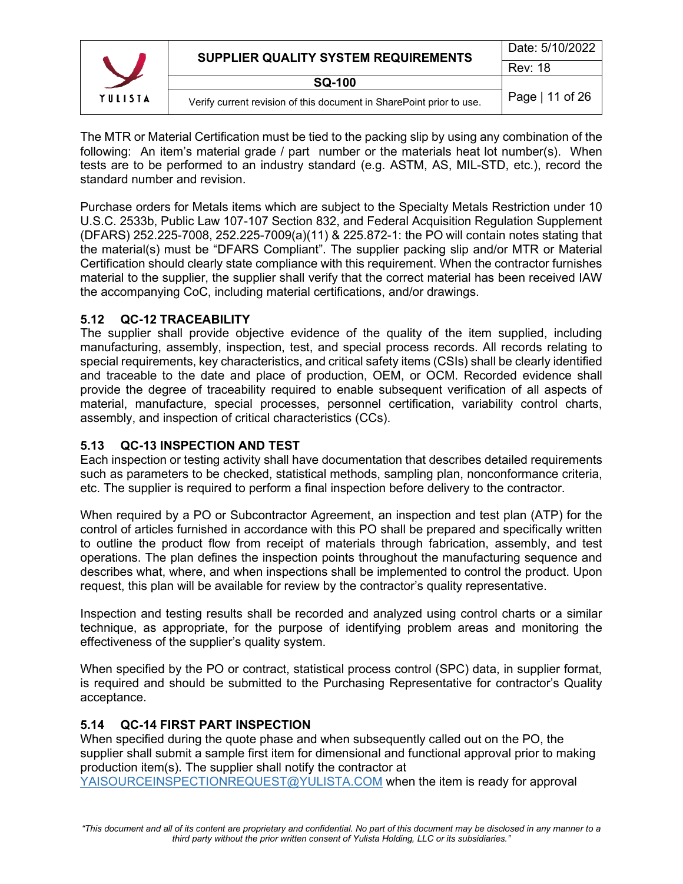|         | SUPPLIER QUALITY SYSTEM REQUIREMENTS                                 | Date: 5/10/2022 |
|---------|----------------------------------------------------------------------|-----------------|
|         |                                                                      | <b>Rev: 18</b>  |
|         | <b>SQ-100</b>                                                        |                 |
| YULISTA | Verify current revision of this document in SharePoint prior to use. | Page   11 of 26 |

The MTR or Material Certification must be tied to the packing slip by using any combination of the following: An item's material grade / part number or the materials heat lot number(s). When tests are to be performed to an industry standard (e.g. ASTM, AS, MIL-STD, etc.), record the standard number and revision.

Purchase orders for Metals items which are subject to the Specialty Metals Restriction under 10 U.S.C. 2533b, Public Law 107-107 Section 832, and Federal Acquisition Regulation Supplement (DFARS) 252.225-7008, 252.225-7009(a)(11) & 225.872-1: the PO will contain notes stating that the material(s) must be "DFARS Compliant". The supplier packing slip and/or MTR or Material Certification should clearly state compliance with this requirement. When the contractor furnishes material to the supplier, the supplier shall verify that the correct material has been received IAW the accompanying CoC, including material certifications, and/or drawings.

# <span id="page-10-0"></span>**5.12 QC-12 TRACEABILITY**

The supplier shall provide objective evidence of the quality of the item supplied, including manufacturing, assembly, inspection, test, and special process records. All records relating to special requirements, key characteristics, and critical safety items (CSIs) shall be clearly identified and traceable to the date and place of production, OEM, or OCM. Recorded evidence shall provide the degree of traceability required to enable subsequent verification of all aspects of material, manufacture, special processes, personnel certification, variability control charts, assembly, and inspection of critical characteristics (CCs).

## <span id="page-10-1"></span>**5.13 QC-13 INSPECTION AND TEST**

Each inspection or testing activity shall have documentation that describes detailed requirements such as parameters to be checked, statistical methods, sampling plan, nonconformance criteria, etc. The supplier is required to perform a final inspection before delivery to the contractor.

When required by a PO or Subcontractor Agreement, an inspection and test plan (ATP) for the control of articles furnished in accordance with this PO shall be prepared and specifically written to outline the product flow from receipt of materials through fabrication, assembly, and test operations. The plan defines the inspection points throughout the manufacturing sequence and describes what, where, and when inspections shall be implemented to control the product. Upon request, this plan will be available for review by the contractor's quality representative.

Inspection and testing results shall be recorded and analyzed using control charts or a similar technique, as appropriate, for the purpose of identifying problem areas and monitoring the effectiveness of the supplier's quality system.

When specified by the PO or contract, statistical process control (SPC) data, in supplier format, is required and should be submitted to the Purchasing Representative for contractor's Quality acceptance.

#### <span id="page-10-2"></span>**5.14 QC-14 FIRST PART INSPECTION**

When specified during the quote phase and when subsequently called out on the PO, the supplier shall submit a sample first item for dimensional and functional approval prior to making production item(s). The supplier shall notify the contractor at [YAISOURCEINSPECTIONREQUEST@YULISTA.COM](mailto:YAISOURCEINSPECTIONREQUEST@YULISTA.COM) when the item is ready for approval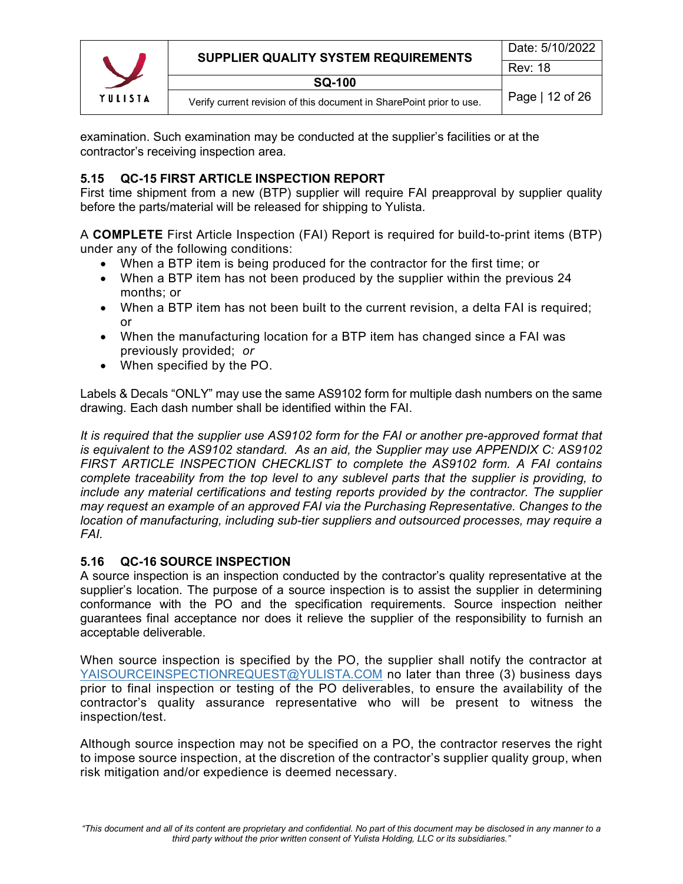

examination. Such examination may be conducted at the supplier's facilities or at the contractor's receiving inspection area.

## <span id="page-11-0"></span>**5.15 QC-15 FIRST ARTICLE INSPECTION REPORT**

First time shipment from a new (BTP) supplier will require FAI preapproval by supplier quality before the parts/material will be released for shipping to Yulista.

A **COMPLETE** First Article Inspection (FAI) Report is required for build-to-print items (BTP) under any of the following conditions:

- When a BTP item is being produced for the contractor for the first time; or
- When a BTP item has not been produced by the supplier within the previous 24 months; or
- When a BTP item has not been built to the current revision, a delta FAI is required; or
- When the manufacturing location for a BTP item has changed since a FAI was previously provided; *or*
- When specified by the PO.

Labels & Decals "ONLY" may use the same AS9102 form for multiple dash numbers on the same drawing. Each dash number shall be identified within the FAI.

*It is required that the supplier use AS9102 form for the FAI or another pre-approved format that is equivalent to the AS9102 standard. As an aid, the Supplier may use APPENDIX C: AS9102 FIRST ARTICLE INSPECTION CHECKLIST to complete the AS9102 form. A FAI contains complete traceability from the top level to any sublevel parts that the supplier is providing, to include any material certifications and testing reports provided by the contractor. The supplier may request an example of an approved FAI via the Purchasing Representative. Changes to the location of manufacturing, including sub-tier suppliers and outsourced processes, may require a FAI.* 

#### <span id="page-11-1"></span>**5.16 QC-16 SOURCE INSPECTION**

A source inspection is an inspection conducted by the contractor's quality representative at the supplier's location. The purpose of a source inspection is to assist the supplier in determining conformance with the PO and the specification requirements. Source inspection neither guarantees final acceptance nor does it relieve the supplier of the responsibility to furnish an acceptable deliverable.

When source inspection is specified by the PO, the supplier shall notify the contractor at [YAISOURCEINSPECTIONREQUEST@YULISTA.COM](mailto:YAISOURCEINSPECTIONREQUEST@YULISTA.COM) no later than three (3) business days prior to final inspection or testing of the PO deliverables, to ensure the availability of the contractor's quality assurance representative who will be present to witness the inspection/test.

Although source inspection may not be specified on a PO, the contractor reserves the right to impose source inspection, at the discretion of the contractor's supplier quality group, when risk mitigation and/or expedience is deemed necessary.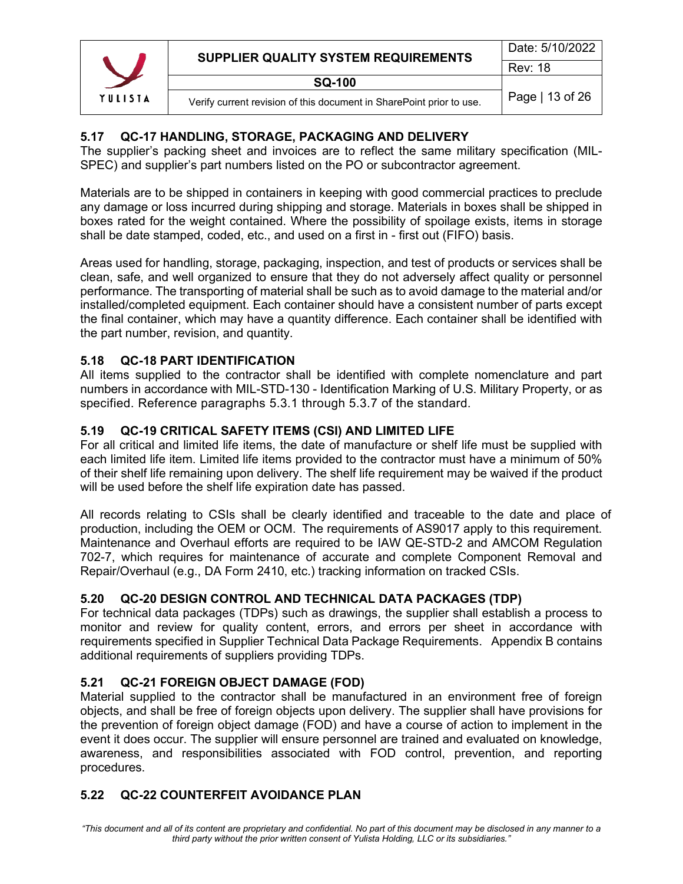|         | SUPPLIER QUALITY SYSTEM REQUIREMENTS                                 | Date: 5/10/2022 |
|---------|----------------------------------------------------------------------|-----------------|
|         |                                                                      | <b>Rev: 18</b>  |
|         | <b>SQ-100</b>                                                        |                 |
| YULISIA | Verify current revision of this document in SharePoint prior to use. | Page   13 of 26 |

## <span id="page-12-0"></span>**5.17 QC-17 HANDLING, STORAGE, PACKAGING AND DELIVERY**

The supplier's packing sheet and invoices are to reflect the same military specification (MIL-SPEC) and supplier's part numbers listed on the PO or subcontractor agreement.

Materials are to be shipped in containers in keeping with good commercial practices to preclude any damage or loss incurred during shipping and storage. Materials in boxes shall be shipped in boxes rated for the weight contained. Where the possibility of spoilage exists, items in storage shall be date stamped, coded, etc., and used on a first in - first out (FIFO) basis.

Areas used for handling, storage, packaging, inspection, and test of products or services shall be clean, safe, and well organized to ensure that they do not adversely affect quality or personnel performance. The transporting of material shall be such as to avoid damage to the material and/or installed/completed equipment. Each container should have a consistent number of parts except the final container, which may have a quantity difference. Each container shall be identified with the part number, revision, and quantity.

#### <span id="page-12-1"></span>**5.18 QC-18 PART IDENTIFICATION**

All items supplied to the contractor shall be identified with complete nomenclature and part numbers in accordance with MIL-STD-130 - Identification Marking of U.S. Military Property, or as specified. Reference paragraphs 5.3.1 through 5.3.7 of the standard.

#### <span id="page-12-2"></span>**5.19 QC-19 CRITICAL SAFETY ITEMS (CSI) AND LIMITED LIFE**

For all critical and limited life items, the date of manufacture or shelf life must be supplied with each limited life item. Limited life items provided to the contractor must have a minimum of 50% of their shelf life remaining upon delivery. The shelf life requirement may be waived if the product will be used before the shelf life expiration date has passed.

All records relating to CSIs shall be clearly identified and traceable to the date and place of production, including the OEM or OCM. The requirements of AS9017 apply to this requirement. Maintenance and Overhaul efforts are required to be IAW QE-STD-2 and AMCOM Regulation 702-7, which requires for maintenance of accurate and complete Component Removal and Repair/Overhaul (e.g., DA Form 2410, etc.) tracking information on tracked CSIs.

# <span id="page-12-3"></span>**5.20 QC-20 DESIGN CONTROL AND TECHNICAL DATA PACKAGES (TDP)**

For technical data packages (TDPs) such as drawings, the supplier shall establish a process to monitor and review for quality content, errors, and errors per sheet in accordance with requirements specified in Supplier Technical Data Package Requirements. Appendix B contains additional requirements of suppliers providing TDPs.

#### <span id="page-12-4"></span>**5.21 QC-21 FOREIGN OBJECT DAMAGE (FOD)**

Material supplied to the contractor shall be manufactured in an environment free of foreign objects, and shall be free of foreign objects upon delivery. The supplier shall have provisions for the prevention of foreign object damage (FOD) and have a course of action to implement in the event it does occur. The supplier will ensure personnel are trained and evaluated on knowledge, awareness, and responsibilities associated with FOD control, prevention, and reporting procedures.

# <span id="page-12-5"></span>**5.22 QC-22 COUNTERFEIT AVOIDANCE PLAN**

*"This document and all of its content are proprietary and confidential. No part of this document may be disclosed in any manner to a third party without the prior written consent of Yulista Holding, LLC or its subsidiaries."*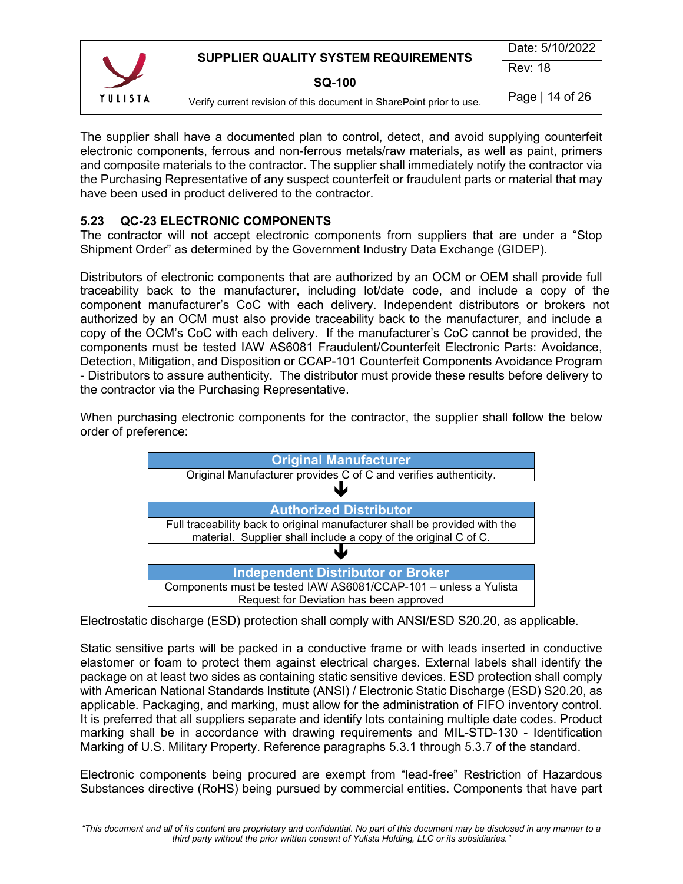|         | SUPPLIER QUALITY SYSTEM REQUIREMENTS                                 | Date: 5/10/2022 |  |  |
|---------|----------------------------------------------------------------------|-----------------|--|--|
|         |                                                                      | <b>Rev: 18</b>  |  |  |
|         | <b>SQ-100</b>                                                        |                 |  |  |
| YULISIA | Verify current revision of this document in SharePoint prior to use. | Page   14 of 26 |  |  |

The supplier shall have a documented plan to control, detect, and avoid supplying counterfeit electronic components, ferrous and non-ferrous metals/raw materials, as well as paint, primers and composite materials to the contractor. The supplier shall immediately notify the contractor via the Purchasing Representative of any suspect counterfeit or fraudulent parts or material that may have been used in product delivered to the contractor.

# <span id="page-13-0"></span>**5.23 QC-23 ELECTRONIC COMPONENTS**

The contractor will not accept electronic components from suppliers that are under a "Stop Shipment Order" as determined by the Government Industry Data Exchange (GIDEP).

Distributors of electronic components that are authorized by an OCM or OEM shall provide full traceability back to the manufacturer, including lot/date code, and include a copy of the component manufacturer's CoC with each delivery. Independent distributors or brokers not authorized by an OCM must also provide traceability back to the manufacturer, and include a copy of the OCM's CoC with each delivery. If the manufacturer's CoC cannot be provided, the components must be tested IAW AS6081 Fraudulent/Counterfeit Electronic Parts: Avoidance, Detection, Mitigation, and Disposition or CCAP-101 Counterfeit Components Avoidance Program - Distributors to assure authenticity. The distributor must provide these results before delivery to the contractor via the Purchasing Representative.

When purchasing electronic components for the contractor, the supplier shall follow the below order of preference:



Electrostatic discharge (ESD) protection shall comply with ANSI/ESD S20.20, as applicable.

Static sensitive parts will be packed in a conductive frame or with leads inserted in conductive elastomer or foam to protect them against electrical charges. External labels shall identify the package on at least two sides as containing static sensitive devices. ESD protection shall comply with American National Standards Institute (ANSI) / Electronic Static Discharge (ESD) S20.20, as applicable. Packaging, and marking, must allow for the administration of FIFO inventory control. It is preferred that all suppliers separate and identify lots containing multiple date codes. Product marking shall be in accordance with drawing requirements and MIL-STD-130 - Identification Marking of U.S. Military Property. Reference paragraphs 5.3.1 through 5.3.7 of the standard.

Electronic components being procured are exempt from "lead-free" Restriction of Hazardous Substances directive (RoHS) being pursued by commercial entities. Components that have part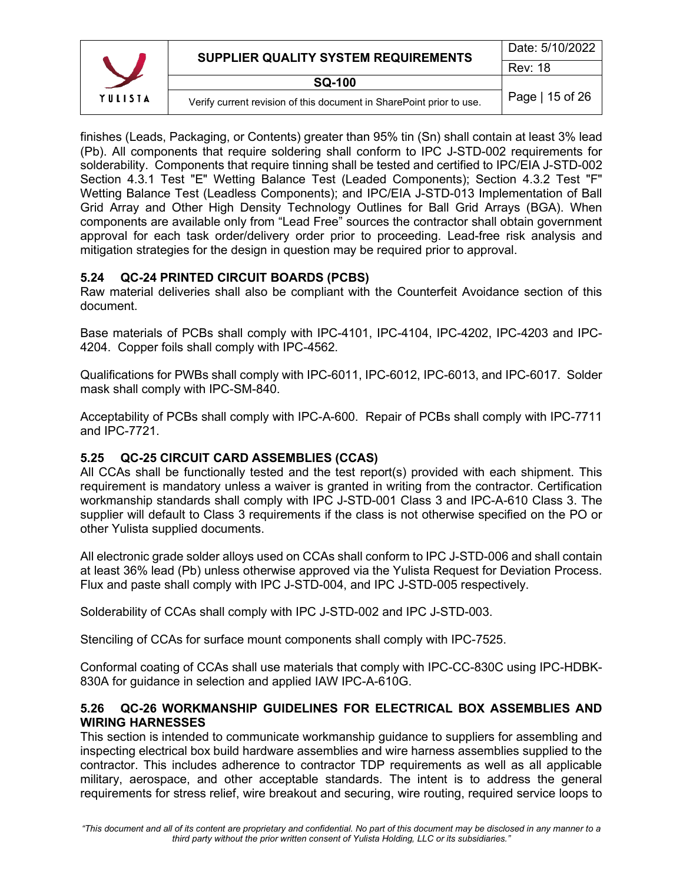|         | SUPPLIER QUALITY SYSTEM REQUIREMENTS                                 | Date: 5/10/2022 |
|---------|----------------------------------------------------------------------|-----------------|
|         |                                                                      |                 |
|         | <b>SQ-100</b>                                                        |                 |
| YULISIA | Verify current revision of this document in SharePoint prior to use. | Page   15 of 26 |

finishes (Leads, Packaging, or Contents) greater than 95% tin (Sn) shall contain at least 3% lead (Pb). All components that require soldering shall conform to IPC J-STD-002 requirements for solderability. Components that require tinning shall be tested and certified to IPC/EIA J-STD-002 Section 4.3.1 Test "E" Wetting Balance Test (Leaded Components); Section 4.3.2 Test "F" Wetting Balance Test (Leadless Components); and IPC/EIA J-STD-013 Implementation of Ball Grid Array and Other High Density Technology Outlines for Ball Grid Arrays (BGA). When components are available only from "Lead Free" sources the contractor shall obtain government approval for each task order/delivery order prior to proceeding. Lead-free risk analysis and mitigation strategies for the design in question may be required prior to approval.

# <span id="page-14-0"></span>**5.24 QC-24 PRINTED CIRCUIT BOARDS (PCBS)**

Raw material deliveries shall also be compliant with the Counterfeit Avoidance section of this document.

Base materials of PCBs shall comply with IPC-4101, IPC-4104, IPC-4202, IPC-4203 and IPC-4204. Copper foils shall comply with IPC-4562.

Qualifications for PWBs shall comply with IPC-6011, IPC-6012, IPC-6013, and IPC-6017. Solder mask shall comply with IPC-SM-840.

Acceptability of PCBs shall comply with IPC-A-600. Repair of PCBs shall comply with IPC-7711 and IPC-7721.

# <span id="page-14-1"></span>**5.25 QC-25 CIRCUIT CARD ASSEMBLIES (CCAS)**

All CCAs shall be functionally tested and the test report(s) provided with each shipment. This requirement is mandatory unless a waiver is granted in writing from the contractor. Certification workmanship standards shall comply with IPC J-STD-001 Class 3 and IPC-A-610 Class 3. The supplier will default to Class 3 requirements if the class is not otherwise specified on the PO or other Yulista supplied documents.

All electronic grade solder alloys used on CCAs shall conform to IPC J-STD-006 and shall contain at least 36% lead (Pb) unless otherwise approved via the Yulista Request for Deviation Process. Flux and paste shall comply with IPC J-STD-004, and IPC J-STD-005 respectively.

Solderability of CCAs shall comply with IPC J-STD-002 and IPC J-STD-003.

Stenciling of CCAs for surface mount components shall comply with IPC-7525.

Conformal coating of CCAs shall use materials that comply with IPC-CC-830C using IPC-HDBK-830A for guidance in selection and applied IAW IPC-A-610G.

#### <span id="page-14-2"></span>**5.26 QC-26 WORKMANSHIP GUIDELINES FOR ELECTRICAL BOX ASSEMBLIES AND WIRING HARNESSES**

This section is intended to communicate workmanship guidance to suppliers for assembling and inspecting electrical box build hardware assemblies and wire harness assemblies supplied to the contractor. This includes adherence to contractor TDP requirements as well as all applicable military, aerospace, and other acceptable standards. The intent is to address the general requirements for stress relief, wire breakout and securing, wire routing, required service loops to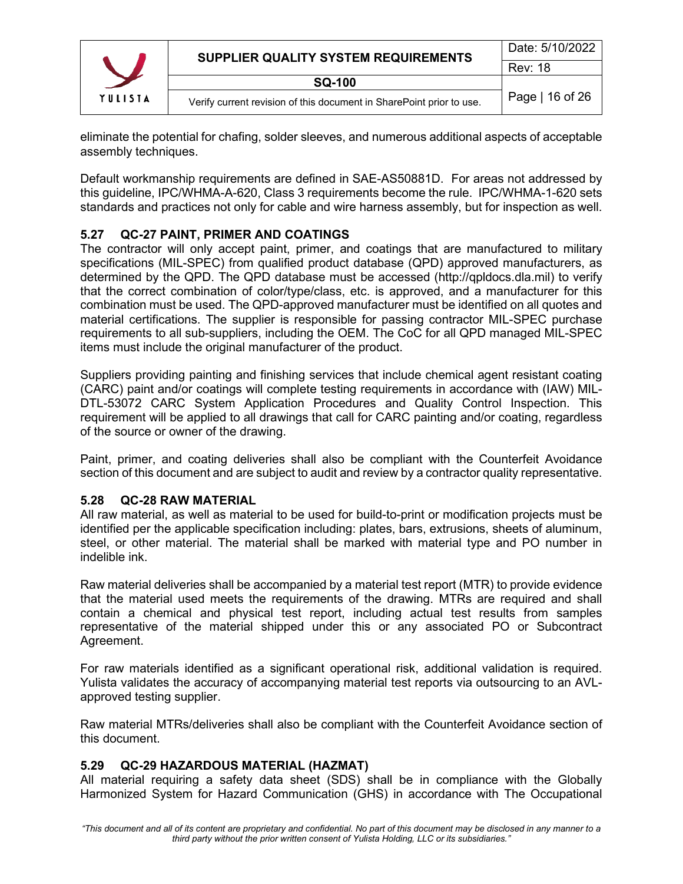

eliminate the potential for chafing, solder sleeves, and numerous additional aspects of acceptable assembly techniques.

Default workmanship requirements are defined in SAE-AS50881D. For areas not addressed by this guideline, IPC/WHMA-A-620, Class 3 requirements become the rule. IPC/WHMA-1-620 sets standards and practices not only for cable and wire harness assembly, but for inspection as well.

# <span id="page-15-0"></span>**5.27 QC-27 PAINT, PRIMER AND COATINGS**

The contractor will only accept paint, primer, and coatings that are manufactured to military specifications (MIL-SPEC) from qualified product database (QPD) approved manufacturers, as determined by the QPD. The QPD database must be accessed (http:/[/qpldocs.dla.mil\)](http://qpldocs.dla.mil/) to verify that the correct combination of color/type/class, etc. is approved, and a manufacturer for this combination must be used. The QPD-approved manufacturer must be identified on all quotes and material certifications. The supplier is responsible for passing contractor MIL-SPEC purchase requirements to all sub-suppliers, including the OEM. The CoC for all QPD managed MIL-SPEC items must include the original manufacturer of the product.

Suppliers providing painting and finishing services that include chemical agent resistant coating (CARC) paint and/or coatings will complete testing requirements in accordance with (IAW) MIL-DTL-53072 CARC System Application Procedures and Quality Control Inspection. This requirement will be applied to all drawings that call for CARC painting and/or coating, regardless of the source or owner of the drawing.

Paint, primer, and coating deliveries shall also be compliant with the Counterfeit Avoidance section of this document and are subject to audit and review by a contractor quality representative.

#### <span id="page-15-1"></span>**5.28 QC-28 RAW MATERIAL**

All raw material, as well as material to be used for build-to-print or modification projects must be identified per the applicable specification including: plates, bars, extrusions, sheets of aluminum, steel, or other material. The material shall be marked with material type and PO number in indelible ink.

Raw material deliveries shall be accompanied by a material test report (MTR) to provide evidence that the material used meets the requirements of the drawing. MTRs are required and shall contain a chemical and physical test report, including actual test results from samples representative of the material shipped under this or any associated PO or Subcontract Agreement.

For raw materials identified as a significant operational risk, additional validation is required. Yulista validates the accuracy of accompanying material test reports via outsourcing to an AVLapproved testing supplier.

Raw material MTRs/deliveries shall also be compliant with the Counterfeit Avoidance section of this document.

#### <span id="page-15-2"></span>**5.29 QC-29 HAZARDOUS MATERIAL (HAZMAT)**

All material requiring a safety data sheet (SDS) shall be in compliance with the Globally Harmonized System for Hazard Communication (GHS) in accordance with The Occupational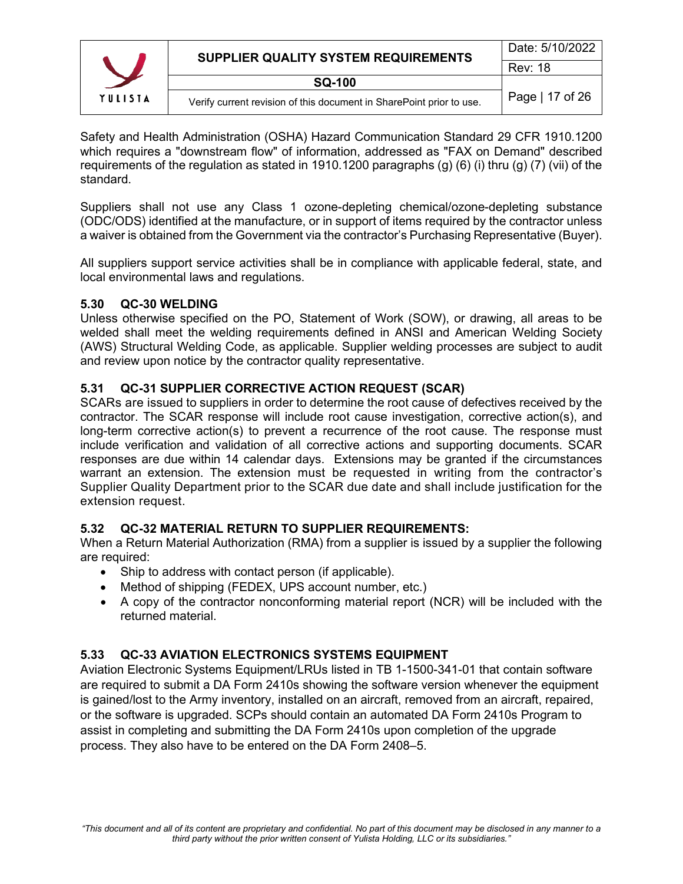

Safety and Health Administration (OSHA) Hazard Communication Standard 29 CFR 1910.1200 which requires a "downstream flow" of information, addressed as "FAX on Demand" described requirements of the regulation as stated in 1910.1200 paragraphs (g) (6) (i) thru (g) (7) (vii) of the standard.

Suppliers shall not use any Class 1 ozone-depleting chemical/ozone-depleting substance (ODC/ODS) identified at the manufacture, or in support of items required by the contractor unless a waiver is obtained from the Government via the contractor's Purchasing Representative (Buyer).

All suppliers support service activities shall be in compliance with applicable federal, state, and local environmental laws and regulations.

#### <span id="page-16-0"></span>**5.30 QC-30 WELDING**

Unless otherwise specified on the PO, Statement of Work (SOW), or drawing, all areas to be welded shall meet the welding requirements defined in ANSI and American Welding Society (AWS) Structural Welding Code, as applicable. Supplier welding processes are subject to audit and review upon notice by the contractor quality representative.

#### <span id="page-16-1"></span>**5.31 QC-31 SUPPLIER CORRECTIVE ACTION REQUEST (SCAR)**

SCARs are issued to suppliers in order to determine the root cause of defectives received by the contractor. The SCAR response will include root cause investigation, corrective action(s), and long-term corrective action(s) to prevent a recurrence of the root cause. The response must include verification and validation of all corrective actions and supporting documents. SCAR responses are due within 14 calendar days. Extensions may be granted if the circumstances warrant an extension. The extension must be requested in writing from the contractor's Supplier Quality Department prior to the SCAR due date and shall include justification for the extension request.

#### <span id="page-16-2"></span>**5.32 QC-32 MATERIAL RETURN TO SUPPLIER REQUIREMENTS:**

When a Return Material Authorization (RMA) from a supplier is issued by a supplier the following are required:

- Ship to address with contact person (if applicable).
- Method of shipping (FEDEX, UPS account number, etc.)
- A copy of the contractor nonconforming material report (NCR) will be included with the returned material.

# <span id="page-16-3"></span>**5.33 QC-33 AVIATION ELECTRONICS SYSTEMS EQUIPMENT**

Aviation Electronic Systems Equipment/LRUs listed in TB 1-1500-341-01 that contain software are required to submit a DA Form 2410s showing the software version whenever the equipment is gained/lost to the Army inventory, installed on an aircraft, removed from an aircraft, repaired, or the software is upgraded. SCPs should contain an automated DA Form 2410s Program to assist in completing and submitting the DA Form 2410s upon completion of the upgrade process. They also have to be entered on the DA Form 2408–5.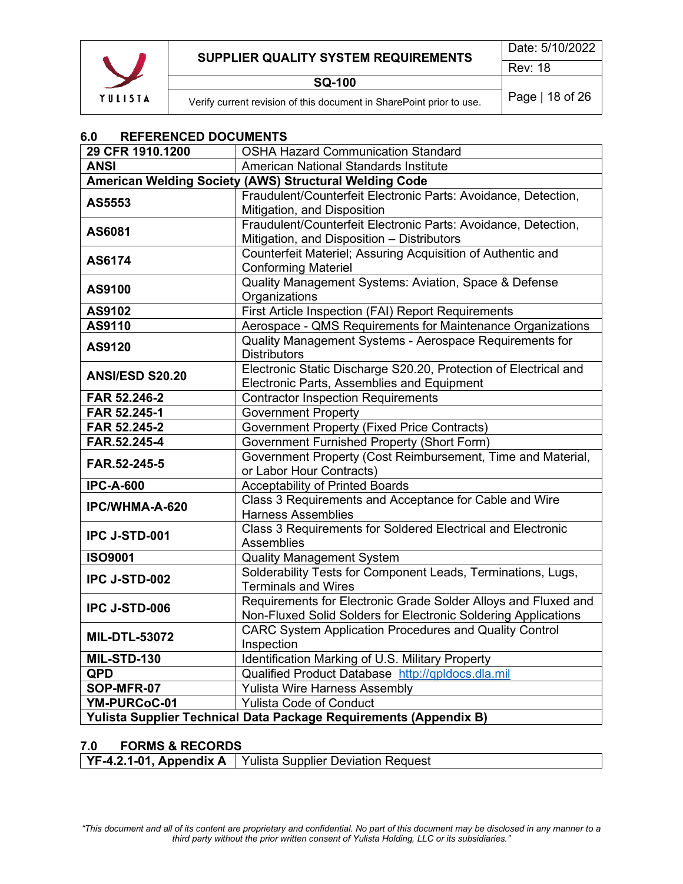

# <span id="page-17-0"></span>**6.0 REFERENCED DOCUMENTS**

| 29 CFR 1910.1200                                       | <b>OSHA Hazard Communication Standard</b>                                                                                        |  |  |  |  |
|--------------------------------------------------------|----------------------------------------------------------------------------------------------------------------------------------|--|--|--|--|
| <b>ANSI</b>                                            | American National Standards Institute                                                                                            |  |  |  |  |
| American Welding Society (AWS) Structural Welding Code |                                                                                                                                  |  |  |  |  |
| AS5553                                                 | Fraudulent/Counterfeit Electronic Parts: Avoidance, Detection,<br>Mitigation, and Disposition                                    |  |  |  |  |
| AS6081                                                 | Fraudulent/Counterfeit Electronic Parts: Avoidance, Detection,<br>Mitigation, and Disposition - Distributors                     |  |  |  |  |
| AS6174                                                 | Counterfeit Materiel; Assuring Acquisition of Authentic and<br><b>Conforming Materiel</b>                                        |  |  |  |  |
| AS9100                                                 | Quality Management Systems: Aviation, Space & Defense<br>Organizations                                                           |  |  |  |  |
| AS9102                                                 | First Article Inspection (FAI) Report Requirements                                                                               |  |  |  |  |
| AS9110                                                 | Aerospace - QMS Requirements for Maintenance Organizations                                                                       |  |  |  |  |
| AS9120                                                 | Quality Management Systems - Aerospace Requirements for<br><b>Distributors</b>                                                   |  |  |  |  |
| <b>ANSI/ESD S20.20</b>                                 | Electronic Static Discharge S20.20, Protection of Electrical and<br>Electronic Parts, Assemblies and Equipment                   |  |  |  |  |
| FAR 52.246-2                                           | <b>Contractor Inspection Requirements</b>                                                                                        |  |  |  |  |
| FAR 52.245-1                                           | <b>Government Property</b>                                                                                                       |  |  |  |  |
| FAR 52.245-2                                           | <b>Government Property (Fixed Price Contracts)</b>                                                                               |  |  |  |  |
| FAR.52.245-4                                           | <b>Government Furnished Property (Short Form)</b>                                                                                |  |  |  |  |
| FAR.52-245-5                                           | Government Property (Cost Reimbursement, Time and Material,                                                                      |  |  |  |  |
|                                                        | or Labor Hour Contracts)                                                                                                         |  |  |  |  |
| <b>IPC-A-600</b>                                       | <b>Acceptability of Printed Boards</b>                                                                                           |  |  |  |  |
| IPC/WHMA-A-620                                         | Class 3 Requirements and Acceptance for Cable and Wire<br><b>Harness Assemblies</b>                                              |  |  |  |  |
| <b>IPC J-STD-001</b>                                   | Class 3 Requirements for Soldered Electrical and Electronic<br><b>Assemblies</b>                                                 |  |  |  |  |
| <b>ISO9001</b>                                         | <b>Quality Management System</b>                                                                                                 |  |  |  |  |
| IPC J-STD-002                                          | Solderability Tests for Component Leads, Terminations, Lugs,<br><b>Terminals and Wires</b>                                       |  |  |  |  |
| <b>IPC J-STD-006</b>                                   | Requirements for Electronic Grade Solder Alloys and Fluxed and<br>Non-Fluxed Solid Solders for Electronic Soldering Applications |  |  |  |  |
| <b>MIL-DTL-53072</b>                                   | <b>CARC System Application Procedures and Quality Control</b><br>Inspection                                                      |  |  |  |  |
| MIL-STD-130                                            | Identification Marking of U.S. Military Property                                                                                 |  |  |  |  |
| <b>QPD</b>                                             | Qualified Product Database http://qpldocs.dla.mil                                                                                |  |  |  |  |
| SOP-MFR-07                                             | <b>Yulista Wire Harness Assembly</b>                                                                                             |  |  |  |  |
| YM-PURCoC-01                                           | <b>Yulista Code of Conduct</b>                                                                                                   |  |  |  |  |
|                                                        | Yulista Supplier Technical Data Package Requirements (Appendix B)                                                                |  |  |  |  |

#### <span id="page-17-1"></span>**7.0 FORMS & RECORDS**

| <b>YF-4.2.1-01, Appendix A</b>   Yulista Supplier Deviation Request |  |
|---------------------------------------------------------------------|--|
|---------------------------------------------------------------------|--|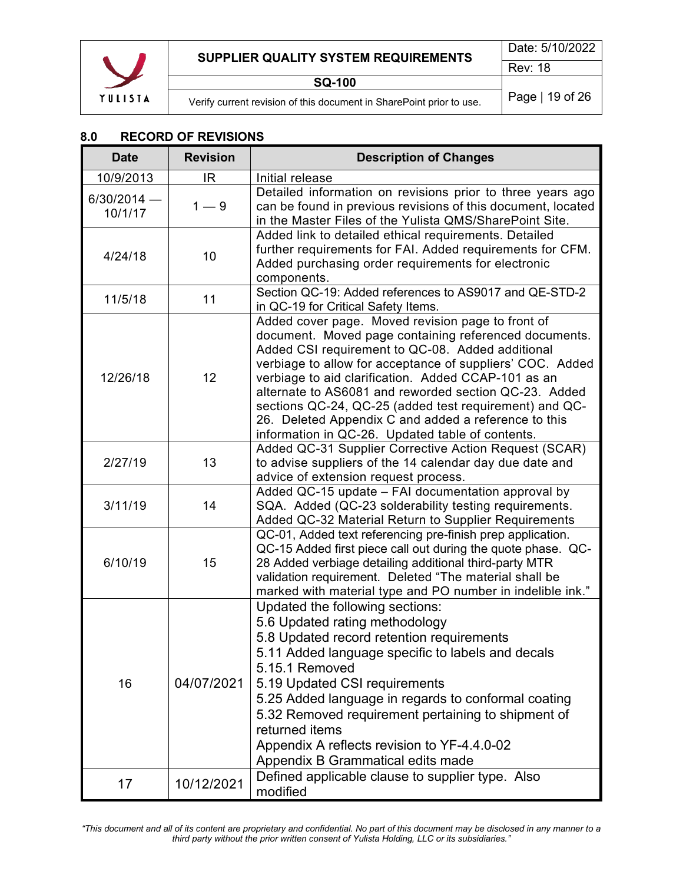

#### <span id="page-18-0"></span>**8.0 RECORD OF REVISIONS**

| <b>Date</b>              | <b>Revision</b> | <b>Description of Changes</b>                                                                                                                                                                                                                                                                                                                                                                                                                                                                                     |
|--------------------------|-----------------|-------------------------------------------------------------------------------------------------------------------------------------------------------------------------------------------------------------------------------------------------------------------------------------------------------------------------------------------------------------------------------------------------------------------------------------------------------------------------------------------------------------------|
| 10/9/2013                | IR.             | Initial release                                                                                                                                                                                                                                                                                                                                                                                                                                                                                                   |
| $6/30/2014$ –<br>10/1/17 | $1 - 9$         | Detailed information on revisions prior to three years ago<br>can be found in previous revisions of this document, located<br>in the Master Files of the Yulista QMS/SharePoint Site.                                                                                                                                                                                                                                                                                                                             |
| 4/24/18                  | 10              | Added link to detailed ethical requirements. Detailed<br>further requirements for FAI. Added requirements for CFM.<br>Added purchasing order requirements for electronic<br>components.                                                                                                                                                                                                                                                                                                                           |
| 11/5/18                  | 11              | Section QC-19: Added references to AS9017 and QE-STD-2<br>in QC-19 for Critical Safety Items.                                                                                                                                                                                                                                                                                                                                                                                                                     |
| 12/26/18                 | 12              | Added cover page. Moved revision page to front of<br>document. Moved page containing referenced documents.<br>Added CSI requirement to QC-08. Added additional<br>verbiage to allow for acceptance of suppliers' COC. Added<br>verbiage to aid clarification. Added CCAP-101 as an<br>alternate to AS6081 and reworded section QC-23. Added<br>sections QC-24, QC-25 (added test requirement) and QC-<br>26. Deleted Appendix C and added a reference to this<br>information in QC-26. Updated table of contents. |
| 2/27/19                  | 13              | Added QC-31 Supplier Corrective Action Request (SCAR)<br>to advise suppliers of the 14 calendar day due date and<br>advice of extension request process.                                                                                                                                                                                                                                                                                                                                                          |
| 3/11/19                  | 14              | Added QC-15 update - FAI documentation approval by<br>SQA. Added (QC-23 solderability testing requirements.<br>Added QC-32 Material Return to Supplier Requirements                                                                                                                                                                                                                                                                                                                                               |
| 6/10/19                  | 15              | QC-01, Added text referencing pre-finish prep application.<br>QC-15 Added first piece call out during the quote phase. QC-<br>28 Added verbiage detailing additional third-party MTR<br>validation requirement. Deleted "The material shall be<br>marked with material type and PO number in indelible ink."                                                                                                                                                                                                      |
| 16                       | 04/07/2021      | Updated the following sections:<br>5.6 Updated rating methodology<br>5.8 Updated record retention requirements<br>5.11 Added language specific to labels and decals<br>5.15.1 Removed<br>5.19 Updated CSI requirements<br>5.25 Added language in regards to conformal coating<br>5.32 Removed requirement pertaining to shipment of<br>returned items<br>Appendix A reflects revision to YF-4.4.0-02<br>Appendix B Grammatical edits made                                                                         |
| 17                       | 10/12/2021      | Defined applicable clause to supplier type. Also<br>modified                                                                                                                                                                                                                                                                                                                                                                                                                                                      |

*"This document and all of its content are proprietary and confidential. No part of this document may be disclosed in any manner to a third party without the prior written consent of Yulista Holding, LLC or its subsidiaries."*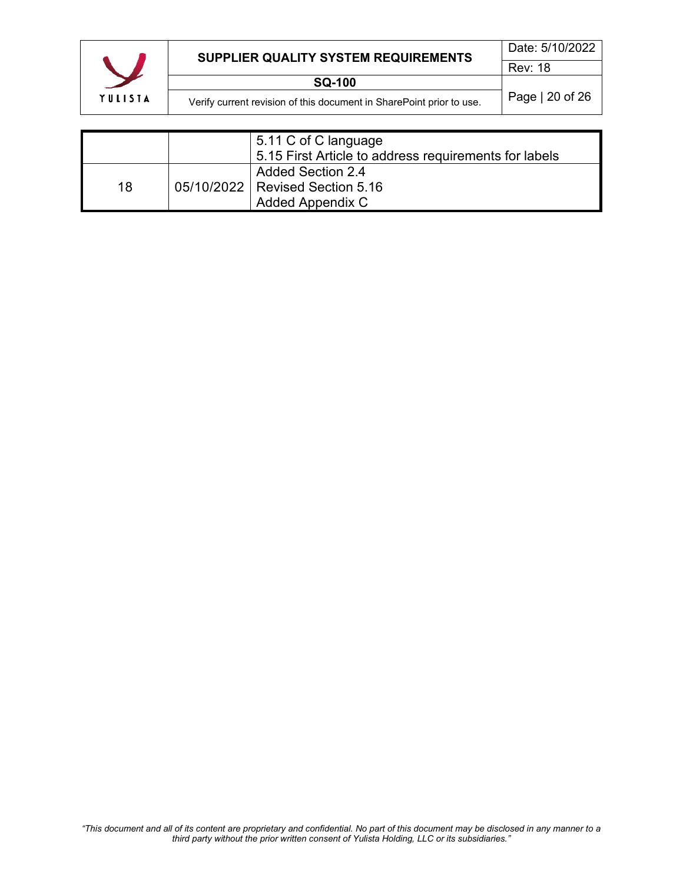

# **SUPPLIER QUALITY SYSTEM REQUIREMENTS**

|    | 5.11 C of C language<br>5.15 First Article to address requirements for labels |
|----|-------------------------------------------------------------------------------|
|    | <b>Added Section 2.4</b>                                                      |
| 18 | 05/10/2022   Revised Section 5.16                                             |
|    | <b>Added Appendix C</b>                                                       |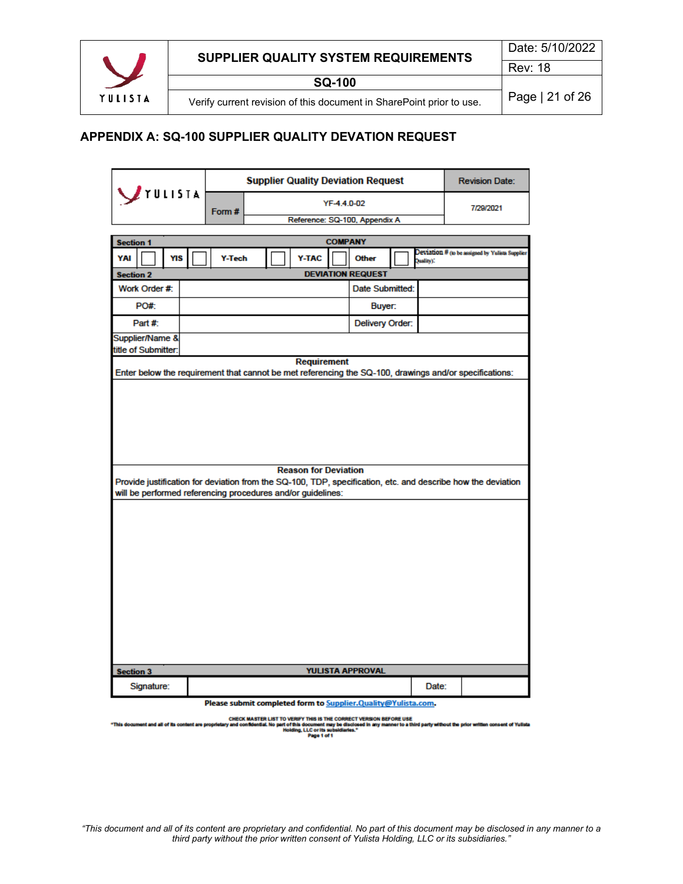

**SQ-100**

Verify current revision of this document in SharePoint prior to use. | Page | 21 of 26

#### <span id="page-20-0"></span>**APPENDIX A: SQ-100 SUPPLIER QUALITY DEVATION REQUEST**

|                                                                                                                                             |        | <b>Supplier Quality Deviation Request</b> |                               |                |                                                                     |         | <b>Revision Date:</b>                           |
|---------------------------------------------------------------------------------------------------------------------------------------------|--------|-------------------------------------------|-------------------------------|----------------|---------------------------------------------------------------------|---------|-------------------------------------------------|
| $\bigcup$ rulista                                                                                                                           | Form#  |                                           |                               | YF-4.4.0-02    |                                                                     |         | 7/29/2021                                       |
|                                                                                                                                             |        |                                           | Reference: SQ-100, Appendix A |                |                                                                     |         |                                                 |
| <b>Section 1</b>                                                                                                                            |        |                                           |                               | <b>COMPANY</b> |                                                                     |         |                                                 |
| YAI<br>YIS                                                                                                                                  | Y-Tech |                                           | Y-TAC                         |                | <b>Other</b>                                                        | slity). | Deviation # (to be assigned by Yulists Supplier |
| <b>Section 2</b>                                                                                                                            |        |                                           |                               |                | <b>DEVIATION REQUEST</b>                                            |         |                                                 |
| Work Order #:                                                                                                                               |        |                                           |                               |                | Date Submitted:                                                     |         |                                                 |
| PO#:                                                                                                                                        |        |                                           |                               |                | Buyer:                                                              |         |                                                 |
| Part #:                                                                                                                                     |        |                                           |                               |                | Delivery Order:                                                     |         |                                                 |
| Supplier/Name &                                                                                                                             |        |                                           |                               |                |                                                                     |         |                                                 |
| title of Submitter:                                                                                                                         |        |                                           | <b>Requirement</b>            |                |                                                                     |         |                                                 |
| Enter below the requirement that cannot be met referencing the SQ-100, drawings and/or specifications:                                      |        |                                           |                               |                |                                                                     |         |                                                 |
| <b>Reason for Deviation</b><br>Provide justification for deviation from the SQ-100, TDP, specification, etc. and describe how the deviation |        |                                           |                               |                |                                                                     |         |                                                 |
| will be performed referencing procedures and/or guidelines:                                                                                 |        |                                           |                               |                |                                                                     |         |                                                 |
|                                                                                                                                             |        |                                           |                               |                |                                                                     |         |                                                 |
|                                                                                                                                             |        |                                           |                               |                |                                                                     |         |                                                 |
|                                                                                                                                             |        |                                           |                               |                |                                                                     |         |                                                 |
|                                                                                                                                             |        |                                           |                               |                |                                                                     |         |                                                 |
|                                                                                                                                             |        |                                           |                               |                |                                                                     |         |                                                 |
|                                                                                                                                             |        |                                           |                               |                |                                                                     |         |                                                 |
|                                                                                                                                             |        |                                           |                               |                |                                                                     |         |                                                 |
|                                                                                                                                             |        |                                           |                               |                |                                                                     |         |                                                 |
| <b>Section 3</b>                                                                                                                            |        |                                           |                               |                | YULISTA APPROVAL                                                    |         |                                                 |
| Signature:                                                                                                                                  |        |                                           |                               |                | <b>Diesce cubmit completed form to Supplier Quality@Vulicta.com</b> | Date:   |                                                 |

rty@Tuiista.com.

CHECK MASTER LIST TO VERIFY THIS IS THE CORRECT VERSION BEFORE USE<br>Iry and confidential. No part of this document may be disclosed in any manner to a thi<br>Page 1 of 1<br>Page 1 of 1 ut the prior written consent of Yulista nt and all of its co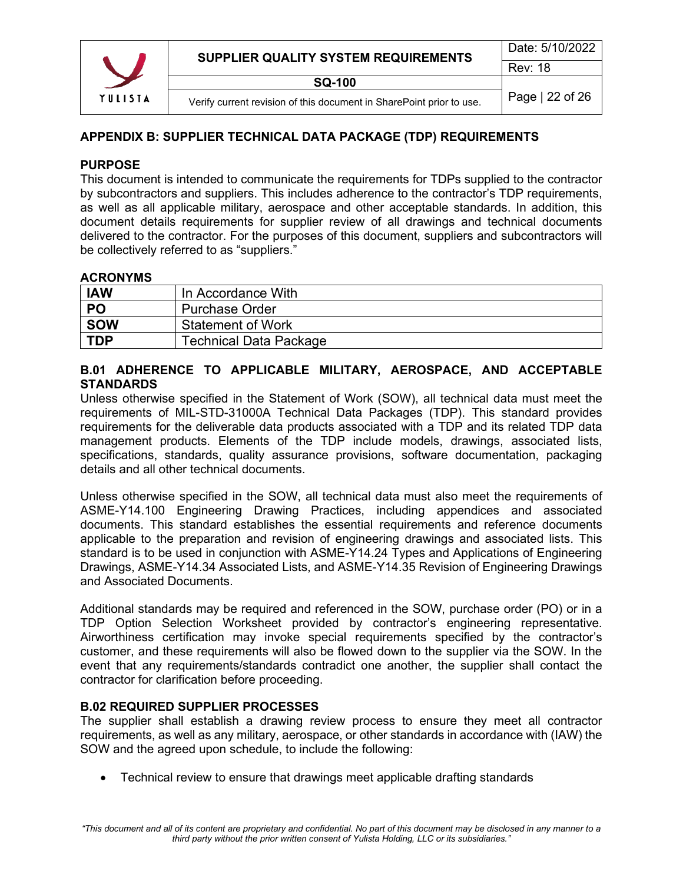

#### <span id="page-21-0"></span>**APPENDIX B: SUPPLIER TECHNICAL DATA PACKAGE (TDP) REQUIREMENTS**

#### <span id="page-21-1"></span>**PURPOSE**

This document is intended to communicate the requirements for TDPs supplied to the contractor by subcontractors and suppliers. This includes adherence to the contractor's TDP requirements, as well as all applicable military, aerospace and other acceptable standards. In addition, this document details requirements for supplier review of all drawings and technical documents delivered to the contractor. For the purposes of this document, suppliers and subcontractors will be collectively referred to as "suppliers."

#### <span id="page-21-2"></span>**ACRONYMS**

| <b>IAW</b> | In Accordance With            |
|------------|-------------------------------|
| PO         | <b>Purchase Order</b>         |
| <b>SOW</b> | <b>Statement of Work</b>      |
| <b>TDP</b> | <b>Technical Data Package</b> |

#### <span id="page-21-3"></span>**B.01 ADHERENCE TO APPLICABLE MILITARY, AEROSPACE, AND ACCEPTABLE STANDARDS**

Unless otherwise specified in the Statement of Work (SOW), all technical data must meet the requirements of MIL-STD-31000A Technical Data Packages (TDP). This standard provides requirements for the deliverable data products associated with a TDP and its related TDP data management products. Elements of the TDP include models, drawings, associated lists, specifications, standards, quality assurance provisions, software documentation, packaging details and all other technical documents.

Unless otherwise specified in the SOW, all technical data must also meet the requirements of ASME-Y14.100 Engineering Drawing Practices, including appendices and associated documents. This standard establishes the essential requirements and reference documents applicable to the preparation and revision of engineering drawings and associated lists. This standard is to be used in conjunction with ASME-Y14.24 Types and Applications of Engineering Drawings, ASME-Y14.34 Associated Lists, and ASME-Y14.35 Revision of Engineering Drawings and Associated Documents.

Additional standards may be required and referenced in the SOW, purchase order (PO) or in a TDP Option Selection Worksheet provided by contractor's engineering representative. Airworthiness certification may invoke special requirements specified by the contractor's customer, and these requirements will also be flowed down to the supplier via the SOW. In the event that any requirements/standards contradict one another, the supplier shall contact the contractor for clarification before proceeding.

#### <span id="page-21-4"></span>**B.02 REQUIRED SUPPLIER PROCESSES**

The supplier shall establish a drawing review process to ensure they meet all contractor requirements, as well as any military, aerospace, or other standards in accordance with (IAW) the SOW and the agreed upon schedule, to include the following:

• Technical review to ensure that drawings meet applicable drafting standards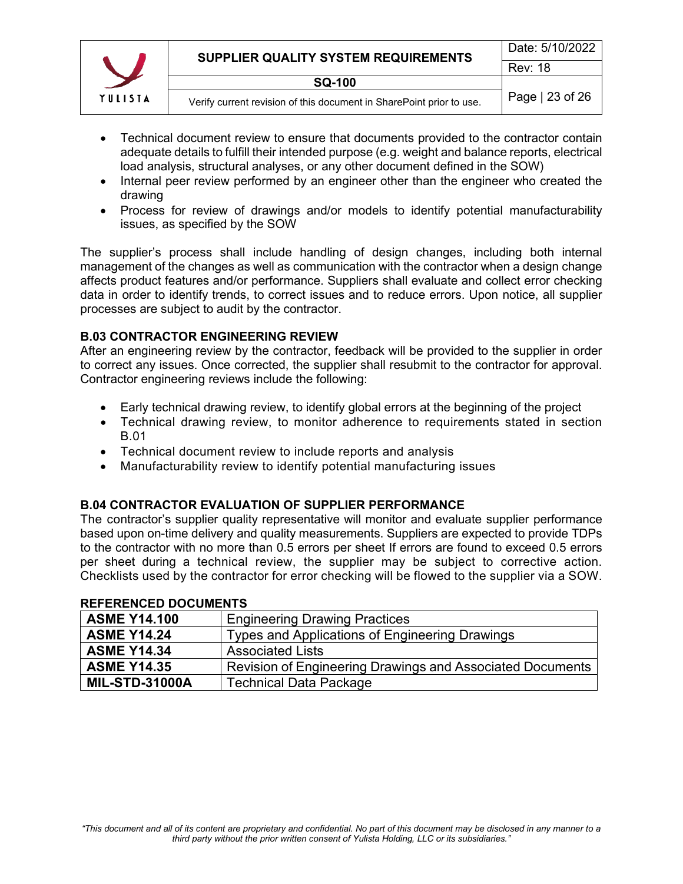

- Technical document review to ensure that documents provided to the contractor contain adequate details to fulfill their intended purpose (e.g. weight and balance reports, electrical load analysis, structural analyses, or any other document defined in the SOW)
- Internal peer review performed by an engineer other than the engineer who created the drawing
- Process for review of drawings and/or models to identify potential manufacturability issues, as specified by the SOW

The supplier's process shall include handling of design changes, including both internal management of the changes as well as communication with the contractor when a design change affects product features and/or performance. Suppliers shall evaluate and collect error checking data in order to identify trends, to correct issues and to reduce errors. Upon notice, all supplier processes are subject to audit by the contractor.

#### <span id="page-22-0"></span>**B.03 CONTRACTOR ENGINEERING REVIEW**

After an engineering review by the contractor, feedback will be provided to the supplier in order to correct any issues. Once corrected, the supplier shall resubmit to the contractor for approval. Contractor engineering reviews include the following:

- Early technical drawing review, to identify global errors at the beginning of the project
- Technical drawing review, to monitor adherence to requirements stated in section B.01
- Technical document review to include reports and analysis
- Manufacturability review to identify potential manufacturing issues

#### <span id="page-22-1"></span>**B.04 CONTRACTOR EVALUATION OF SUPPLIER PERFORMANCE**

The contractor's supplier quality representative will monitor and evaluate supplier performance based upon on-time delivery and quality measurements. Suppliers are expected to provide TDPs to the contractor with no more than 0.5 errors per sheet If errors are found to exceed 0.5 errors per sheet during a technical review, the supplier may be subject to corrective action. Checklists used by the contractor for error checking will be flowed to the supplier via a SOW.

| <b>ASME Y14.100</b>   | <b>Engineering Drawing Practices</b>                      |
|-----------------------|-----------------------------------------------------------|
| <b>ASME Y14.24</b>    | Types and Applications of Engineering Drawings            |
| <b>ASME Y14.34</b>    | <b>Associated Lists</b>                                   |
| <b>ASME Y14.35</b>    | Revision of Engineering Drawings and Associated Documents |
| <b>MIL-STD-31000A</b> | <b>Technical Data Package</b>                             |

#### <span id="page-22-2"></span>**REFERENCED DOCUMENTS**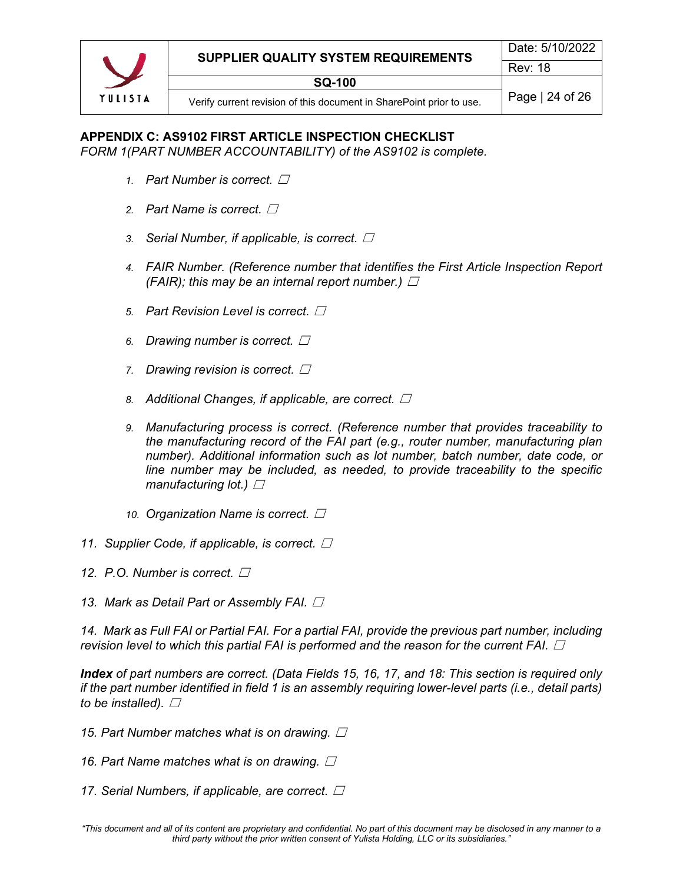# <span id="page-23-0"></span>**APPENDIX C: AS9102 FIRST ARTICLE INSPECTION CHECKLIST**

*FORM 1(PART NUMBER ACCOUNTABILITY) of the AS9102 is complete.*

- *1. Part Number is correct. □*
- 2. Part Name is correct. **□**
- *3. Serial Number, if applicable, is correct. □*
- *4. FAIR Number. (Reference number that identifies the First Article Inspection Report (FAIR); this may be an internal report number.)*  $\Box$
- *5. Part Revision Level is correct.* ☐
- *6. Drawing number is correct.* ☐
- *7.* Drawing revision is correct.  $\square$
- 8. *Additional Changes, if applicable, are correct. □*
- *9. Manufacturing process is correct. (Reference number that provides traceability to the manufacturing record of the FAI part (e.g., router number, manufacturing plan number). Additional information such as lot number, batch number, date code, or*  line number may be included, as needed, to provide traceability to the specific *manufacturing lot.*)  $□$
- 10. Organization Name is correct.  $\square$
- 11. Supplier Code, if applicable, is correct.  $\square$
- *12.* P.O. Number is correct. □
- **13. Mark as Detail Part or Assembly FAI.** □

*14. Mark as Full FAI or Partial FAI. For a partial FAI, provide the previous part number, including revision level to which this partial FAI is performed and the reason for the current FAI.*  $\Box$ 

*Index of part numbers are correct. (Data Fields 15, 16, 17, and 18: This section is required only if the part number identified in field 1 is an assembly requiring lower-level parts (i.e., detail parts) to be installed).*  $\Box$ 

- *15. Part Number matches what is on drawing.*  $\Box$
- 16. Part Name matches what is on drawing.  $\square$
- *17. Serial Numbers, if applicable, are correct. □*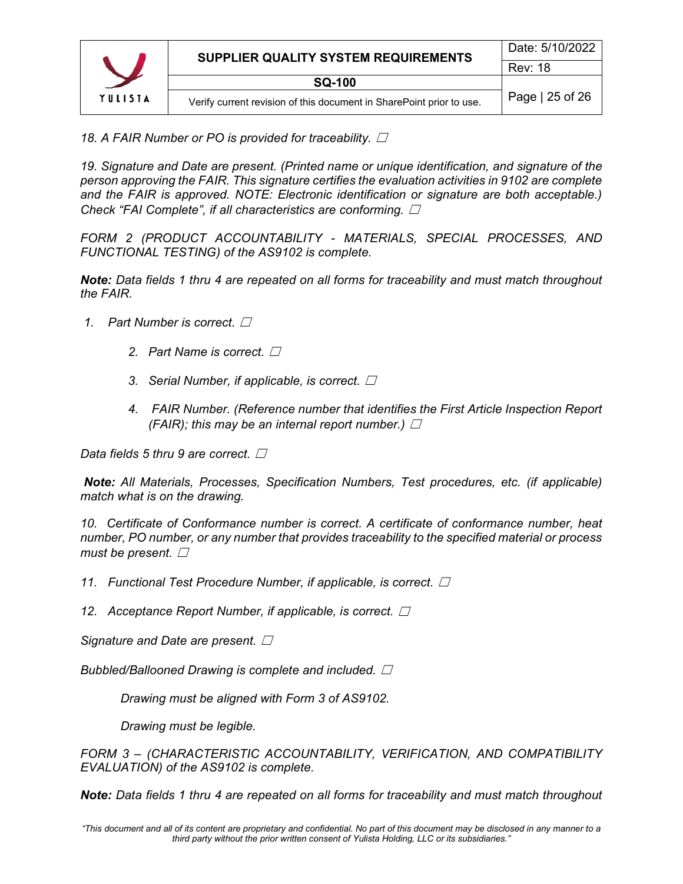

*18. A FAIR Number or PO is provided for traceability.*  $\Box$ 

*19. Signature and Date are present. (Printed name or unique identification, and signature of the person approving the FAIR. This signature certifies the evaluation activities in 9102 are complete and the FAIR is approved. NOTE: Electronic identification or signature are both acceptable.) Check "FAI Complete", if all characteristics are conforming.* ☐

*FORM 2 (PRODUCT ACCOUNTABILITY - MATERIALS, SPECIAL PROCESSES, AND FUNCTIONAL TESTING) of the AS9102 is complete.*

*Note: Data fields 1 thru 4 are repeated on all forms for traceability and must match throughout the FAIR.*

- **1.** Part Number is correct. □
	- 2. Part Name is correct. **□**
	- 3. Serial Number, if applicable, is correct. □
	- *4. FAIR Number. (Reference number that identifies the First Article Inspection Report (FAIR); this may be an internal report number.)*  $\Box$

*Data fields 5 thru 9 are correct.* □

*Note: All Materials, Processes, Specification Numbers, Test procedures, etc. (if applicable) match what is on the drawing.*

*10. Certificate of Conformance number is correct. A certificate of conformance number, heat number, PO number, or any number that provides traceability to the specified material or process must be present. □* 

*11. Functional Test Procedure Number, if applicable, is correct.* $\Box$ 

*12. Acceptance Report Number, if applicable, is correct.*  $\Box$ 

*Signature and Date are present.* □

*Bubbled/Ballooned Drawing is complete and included.*  $\Box$ 

*Drawing must be aligned with Form 3 of AS9102.*

*Drawing must be legible.*

*FORM 3 – (CHARACTERISTIC ACCOUNTABILITY, VERIFICATION, AND COMPATIBILITY EVALUATION) of the AS9102 is complete.*

*Note: Data fields 1 thru 4 are repeated on all forms for traceability and must match throughout*